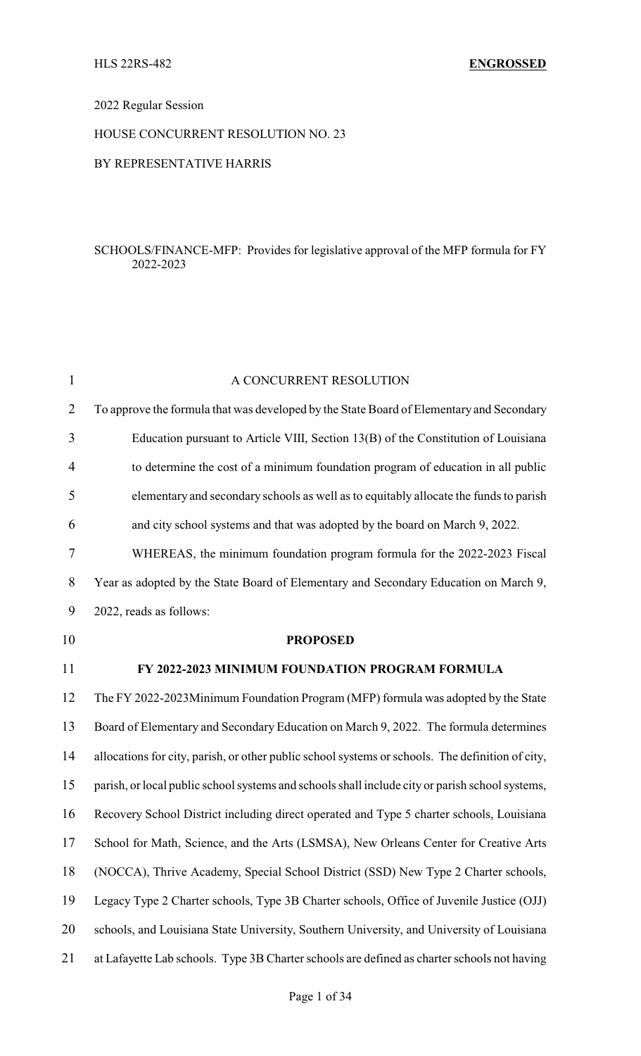#### 2022 Regular Session

#### HOUSE CONCURRENT RESOLUTION NO. 23

#### BY REPRESENTATIVE HARRIS

#### SCHOOLS/FINANCE-MFP: Provides for legislative approval of the MFP formula for FY 2022-2023

| $\mathbf{1}$   | A CONCURRENT RESOLUTION                                                                          |
|----------------|--------------------------------------------------------------------------------------------------|
| $\overline{2}$ | To approve the formula that was developed by the State Board of Elementary and Secondary         |
| 3              | Education pursuant to Article VIII, Section 13(B) of the Constitution of Louisiana               |
| $\overline{4}$ | to determine the cost of a minimum foundation program of education in all public                 |
| 5              | elementary and secondary schools as well as to equitably allocate the funds to parish            |
| 6              | and city school systems and that was adopted by the board on March 9, 2022.                      |
| 7              | WHEREAS, the minimum foundation program formula for the 2022-2023 Fiscal                         |
| 8              | Year as adopted by the State Board of Elementary and Secondary Education on March 9,             |
| 9              | 2022, reads as follows:                                                                          |
| 10             | <b>PROPOSED</b>                                                                                  |
| 11             | FY 2022-2023 MINIMUM FOUNDATION PROGRAM FORMULA                                                  |
| 12             | The FY 2022-2023Minimum Foundation Program (MFP) formula was adopted by the State                |
| 13             | Board of Elementary and Secondary Education on March 9, 2022. The formula determines             |
| 14             | allocations for city, parish, or other public school systems or schools. The definition of city, |
| 15             | parish, or local public school systems and schools shall include city or parish school systems,  |
| 16             | Recovery School District including direct operated and Type 5 charter schools, Louisiana         |
| 17             | School for Math, Science, and the Arts (LSMSA), New Orleans Center for Creative Arts             |
| 18             | (NOCCA), Thrive Academy, Special School District (SSD) New Type 2 Charter schools,               |
| 19             | Legacy Type 2 Charter schools, Type 3B Charter schools, Office of Juvenile Justice (OJJ)         |
| 20             | schools, and Louisiana State University, Southern University, and University of Louisiana        |
| 21             | at Lafayette Lab schools. Type 3B Charter schools are defined as charter schools not having      |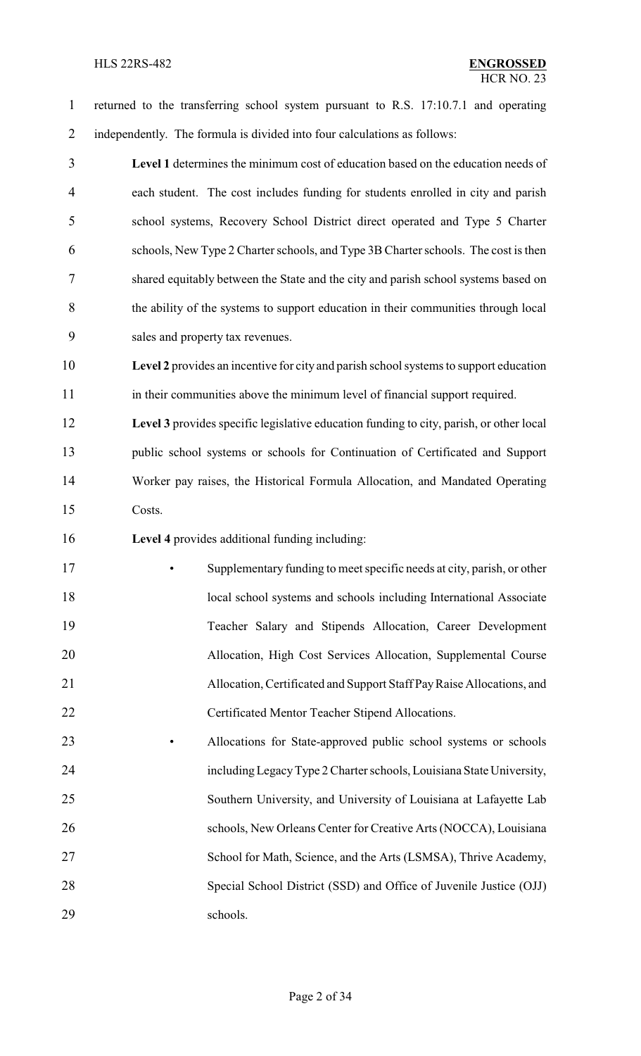#### HLS 22RS-482 **ENGROSSED**

 returned to the transferring school system pursuant to R.S. 17:10.7.1 and operating independently. The formula is divided into four calculations as follows:

 **Level 1** determines the minimum cost of education based on the education needs of each student. The cost includes funding for students enrolled in city and parish school systems, Recovery School District direct operated and Type 5 Charter schools, New Type 2 Charter schools, and Type 3B Charter schools. The cost is then shared equitably between the State and the city and parish school systems based on the ability of the systems to support education in their communities through local sales and property tax revenues.

 **Level 2** provides an incentive for city and parish school systems to support education in their communities above the minimum level of financial support required.

 **Level 3** provides specific legislative education funding to city, parish, or other local public school systems or schools for Continuation of Certificated and Support Worker pay raises, the Historical Formula Allocation, and Mandated Operating Costs.

**Level 4** provides additional funding including:

 • Supplementary funding to meet specific needs at city, parish, or other 18 local school systems and schools including International Associate Teacher Salary and Stipends Allocation, Career Development Allocation, High Cost Services Allocation, Supplemental Course Allocation, Certificated and Support Staff PayRaise Allocations, and Certificated Mentor Teacher Stipend Allocations.

 • Allocations for State-approved public school systems or schools includingLegacyType 2 Charter schools, Louisiana State University, Southern University, and University of Louisiana at Lafayette Lab 26 schools, New Orleans Center for Creative Arts (NOCCA), Louisiana School for Math, Science, and the Arts (LSMSA), Thrive Academy, Special School District (SSD) and Office of Juvenile Justice (OJJ) schools.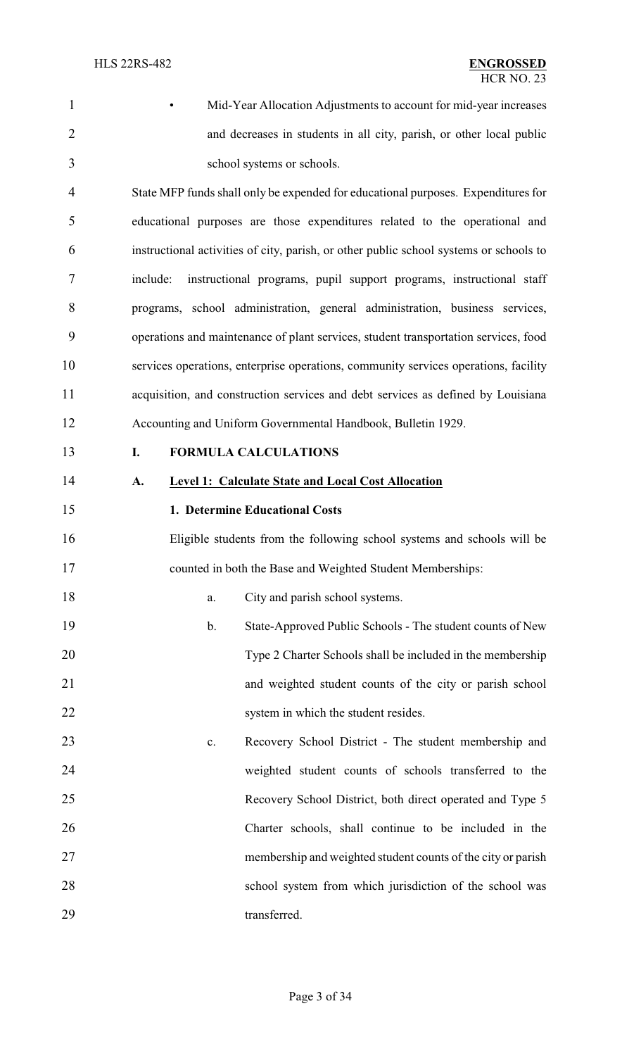• Mid-Year Allocation Adjustments to account for mid-year increases and decreases in students in all city, parish, or other local public school systems or schools.

 State MFP funds shall only be expended for educational purposes. Expenditures for educational purposes are those expenditures related to the operational and instructional activities of city, parish, or other public school systems or schools to include: instructional programs, pupil support programs, instructional staff programs, school administration, general administration, business services, operations and maintenance of plant services, student transportation services, food services operations, enterprise operations, community services operations, facility acquisition, and construction services and debt services as defined by Louisiana Accounting and Uniform Governmental Handbook, Bulletin 1929.

### **I. FORMULA CALCULATIONS**

#### **A. Level 1: Calculate State and Local Cost Allocation**

#### **1. Determine Educational Costs**

 Eligible students from the following school systems and schools will be counted in both the Base and Weighted Student Memberships:

| 18 | City and parish school systems. |
|----|---------------------------------|
|----|---------------------------------|

- b. State-Approved Public Schools The student counts of New Type 2 Charter Schools shall be included in the membership and weighted student counts of the city or parish school 22 system in which the student resides.
- c. Recovery School District The student membership and weighted student counts of schools transferred to the Recovery School District, both direct operated and Type 5 Charter schools, shall continue to be included in the membership and weighted student counts of the city or parish school system from which jurisdiction of the school was 29 transferred.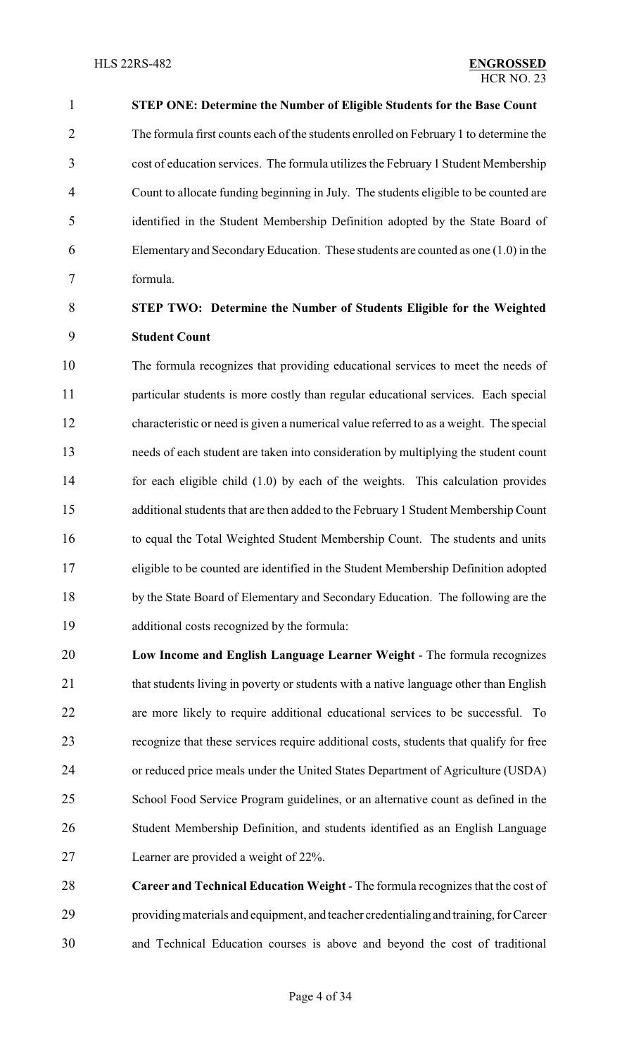**STEP ONE: Determine the Number of Eligible Students for the Base Count** The formula first counts each of the students enrolled on February 1 to determine the cost of education services. The formula utilizes the February 1 Student Membership Count to allocate funding beginning in July. The students eligible to be counted are identified in the Student Membership Definition adopted by the State Board of Elementary and SecondaryEducation. These students are counted as one (1.0) in the formula.

## **STEP TWO: Determine the Number of Students Eligible for the Weighted Student Count**

 The formula recognizes that providing educational services to meet the needs of particular students is more costly than regular educational services. Each special characteristic or need is given a numerical value referred to as a weight. The special needs of each student are taken into consideration by multiplying the student count for each eligible child (1.0) by each of the weights. This calculation provides additional students that are then added to the February 1 Student Membership Count to equal the Total Weighted Student Membership Count. The students and units eligible to be counted are identified in the Student Membership Definition adopted by the State Board of Elementary and Secondary Education. The following are the additional costs recognized by the formula:

- **Low Income and English Language Learner Weight**  The formula recognizes 21 that students living in poverty or students with a native language other than English are more likely to require additional educational services to be successful. To recognize that these services require additional costs, students that qualify for free or reduced price meals under the United States Department of Agriculture (USDA) School Food Service Program guidelines, or an alternative count as defined in the Student Membership Definition, and students identified as an English Language Learner are provided a weight of 22%.
- **Career and Technical Education Weight**  The formula recognizes that the cost of providingmaterials and equipment, and teacher credentialing and training, for Career and Technical Education courses is above and beyond the cost of traditional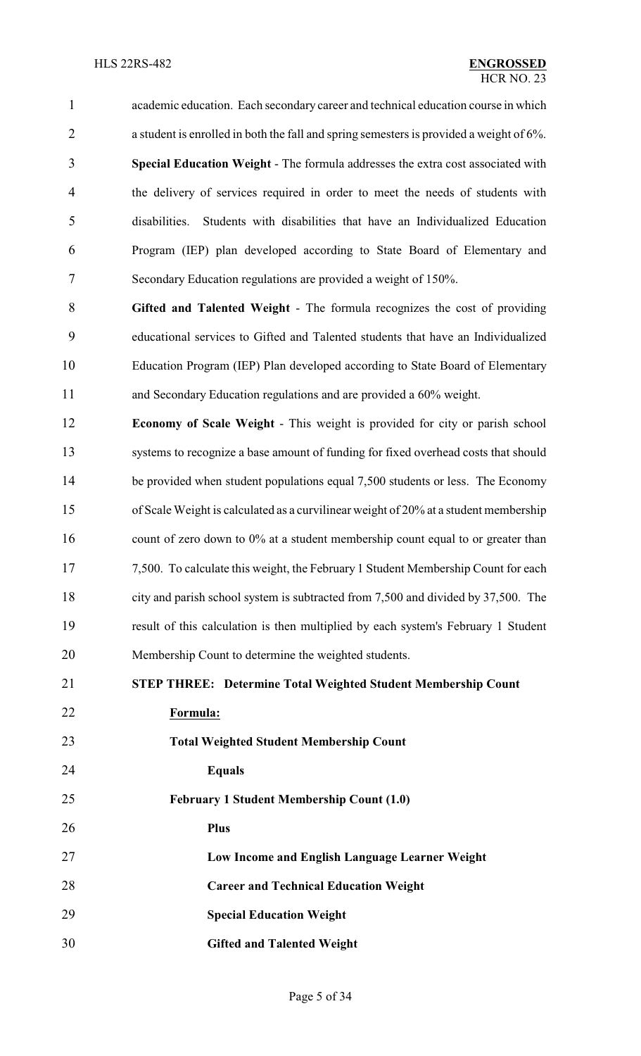academic education. Each secondary career and technical education course in which a student is enrolled in both the fall and spring semesters is provided a weight of 6%. **Special Education Weight** - The formula addresses the extra cost associated with the delivery of services required in order to meet the needs of students with disabilities. Students with disabilities that have an Individualized Education Program (IEP) plan developed according to State Board of Elementary and Secondary Education regulations are provided a weight of 150%.

 **Gifted and Talented Weight** - The formula recognizes the cost of providing educational services to Gifted and Talented students that have an Individualized Education Program (IEP) Plan developed according to State Board of Elementary and Secondary Education regulations and are provided a 60% weight.

 **Economy of Scale Weight** - This weight is provided for city or parish school systems to recognize a base amount of funding for fixed overhead costs that should 14 be provided when student populations equal 7,500 students or less. The Economy of Scale Weight is calculated as a curvilinear weight of 20% at a student membership 16 count of zero down to 0% at a student membership count equal to or greater than 7,500. To calculate this weight, the February 1 Student Membership Count for each city and parish school system is subtracted from 7,500 and divided by 37,500. The result of this calculation is then multiplied by each system's February 1 Student Membership Count to determine the weighted students.

**STEP THREE: Determine Total Weighted Student Membership Count**

**Formula:**

**Total Weighted Student Membership Count**

**Equals**

**February 1 Student Membership Count (1.0)** 

**Plus**

**Low Income and English Language Learner Weight**

**Career and Technical Education Weight**

**Special Education Weight** 

**Gifted and Talented Weight**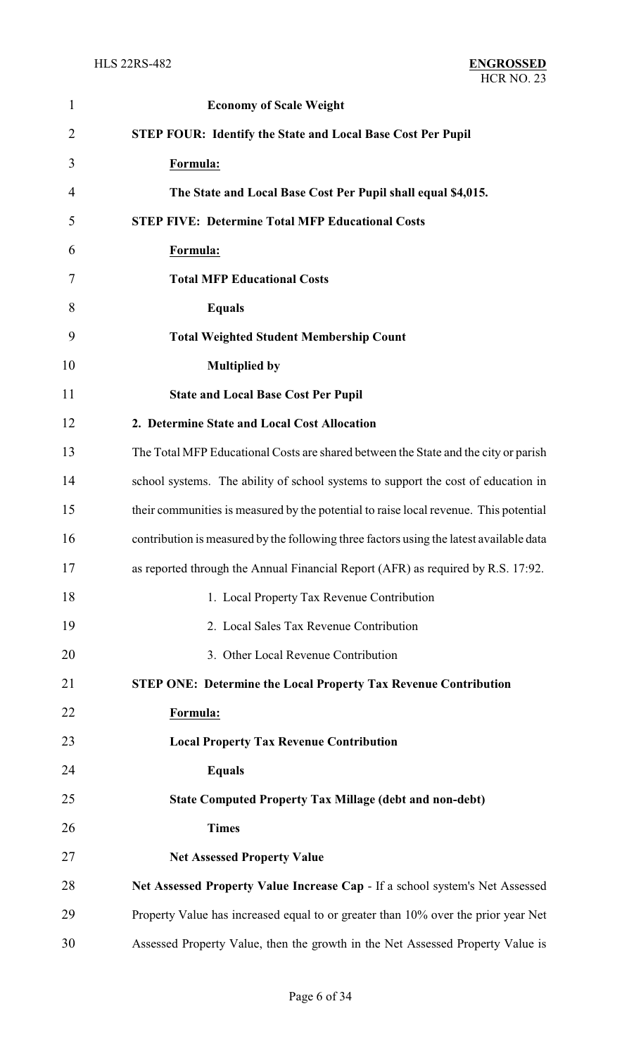| $\mathbf{1}$   | <b>Economy of Scale Weight</b>                                                          |
|----------------|-----------------------------------------------------------------------------------------|
| $\overline{2}$ | <b>STEP FOUR: Identify the State and Local Base Cost Per Pupil</b>                      |
| 3              | Formula:                                                                                |
| 4              | The State and Local Base Cost Per Pupil shall equal \$4,015.                            |
| 5              | <b>STEP FIVE: Determine Total MFP Educational Costs</b>                                 |
| 6              | Formula:                                                                                |
| 7              | <b>Total MFP Educational Costs</b>                                                      |
| 8              | <b>Equals</b>                                                                           |
| 9              | <b>Total Weighted Student Membership Count</b>                                          |
| 10             | <b>Multiplied by</b>                                                                    |
| 11             | <b>State and Local Base Cost Per Pupil</b>                                              |
| 12             | 2. Determine State and Local Cost Allocation                                            |
| 13             | The Total MFP Educational Costs are shared between the State and the city or parish     |
| 14             | school systems. The ability of school systems to support the cost of education in       |
| 15             | their communities is measured by the potential to raise local revenue. This potential   |
| 16             | contribution is measured by the following three factors using the latest available data |
| 17             | as reported through the Annual Financial Report (AFR) as required by R.S. 17:92.        |
| 18             | 1. Local Property Tax Revenue Contribution                                              |
| 19             | 2. Local Sales Tax Revenue Contribution                                                 |
| 20             | 3. Other Local Revenue Contribution                                                     |
| 21             | <b>STEP ONE: Determine the Local Property Tax Revenue Contribution</b>                  |
| 22             | Formula:                                                                                |
| 23             | <b>Local Property Tax Revenue Contribution</b>                                          |
| 24             | <b>Equals</b>                                                                           |
| 25             | <b>State Computed Property Tax Millage (debt and non-debt)</b>                          |
| 26             | <b>Times</b>                                                                            |
| 27             | <b>Net Assessed Property Value</b>                                                      |
| 28             | Net Assessed Property Value Increase Cap - If a school system's Net Assessed            |
| 29             | Property Value has increased equal to or greater than 10% over the prior year Net       |
| 30             | Assessed Property Value, then the growth in the Net Assessed Property Value is          |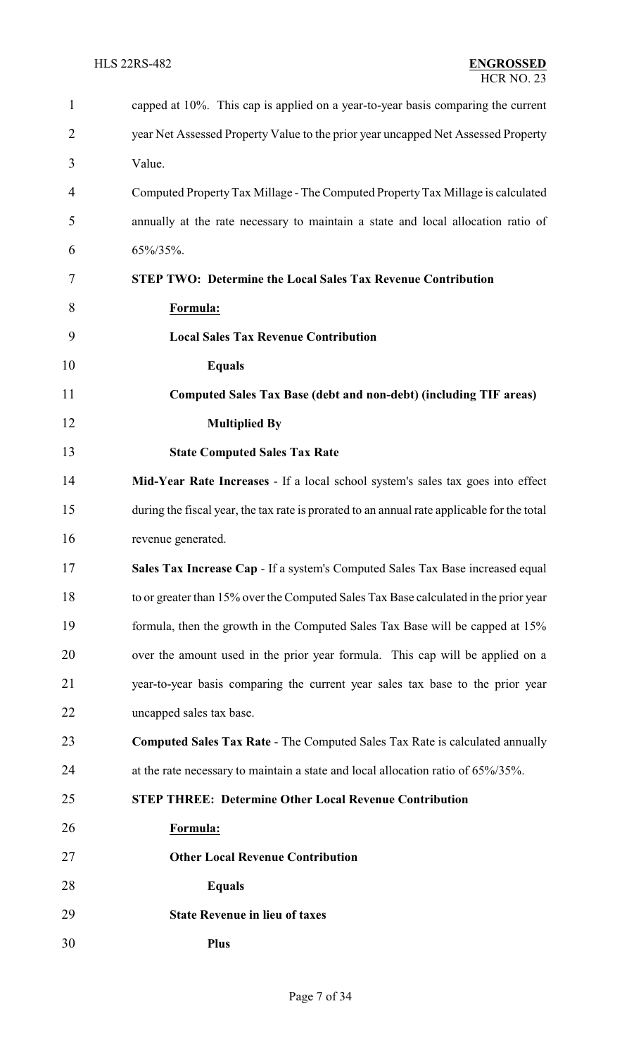| 1              | capped at 10%. This cap is applied on a year-to-year basis comparing the current            |
|----------------|---------------------------------------------------------------------------------------------|
| $\overline{2}$ | year Net Assessed Property Value to the prior year uncapped Net Assessed Property           |
| 3              | Value.                                                                                      |
| 4              | Computed Property Tax Millage - The Computed Property Tax Millage is calculated             |
| 5              | annually at the rate necessary to maintain a state and local allocation ratio of            |
| 6              | 65%/35%.                                                                                    |
| 7              | <b>STEP TWO: Determine the Local Sales Tax Revenue Contribution</b>                         |
| 8              | Formula:                                                                                    |
| 9              | <b>Local Sales Tax Revenue Contribution</b>                                                 |
| 10             | <b>Equals</b>                                                                               |
| 11             | Computed Sales Tax Base (debt and non-debt) (including TIF areas)                           |
| 12             | <b>Multiplied By</b>                                                                        |
| 13             | <b>State Computed Sales Tax Rate</b>                                                        |
| 14             | Mid-Year Rate Increases - If a local school system's sales tax goes into effect             |
| 15             | during the fiscal year, the tax rate is prorated to an annual rate applicable for the total |
| 16             | revenue generated.                                                                          |
| 17             | Sales Tax Increase Cap - If a system's Computed Sales Tax Base increased equal              |
| 18             | to or greater than 15% over the Computed Sales Tax Base calculated in the prior year        |
| 19             | formula, then the growth in the Computed Sales Tax Base will be capped at 15%               |
| 20             | over the amount used in the prior year formula. This cap will be applied on a               |
| 21             | year-to-year basis comparing the current year sales tax base to the prior year              |
| 22             | uncapped sales tax base.                                                                    |
| 23             | <b>Computed Sales Tax Rate - The Computed Sales Tax Rate is calculated annually</b>         |
| 24             | at the rate necessary to maintain a state and local allocation ratio of 65%/35%.            |
| 25             | <b>STEP THREE: Determine Other Local Revenue Contribution</b>                               |
| 26             | Formula:                                                                                    |
| 27             | <b>Other Local Revenue Contribution</b>                                                     |
| 28             | <b>Equals</b>                                                                               |
| 29             | <b>State Revenue in lieu of taxes</b>                                                       |
| 30             | <b>Plus</b>                                                                                 |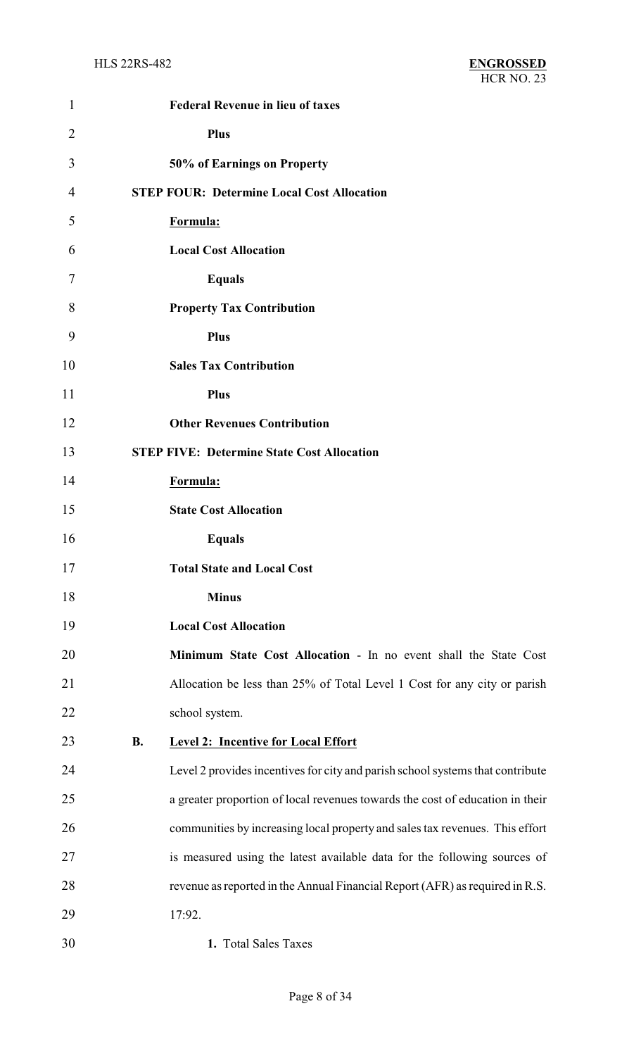| $\mathbf{1}$   | <b>Federal Revenue in lieu of taxes</b>                                        |
|----------------|--------------------------------------------------------------------------------|
| $\overline{2}$ | Plus                                                                           |
| 3              | 50% of Earnings on Property                                                    |
| 4              | <b>STEP FOUR: Determine Local Cost Allocation</b>                              |
| 5              | Formula:                                                                       |
| 6              | <b>Local Cost Allocation</b>                                                   |
| 7              | <b>Equals</b>                                                                  |
| 8              | <b>Property Tax Contribution</b>                                               |
| 9              | <b>Plus</b>                                                                    |
| 10             | <b>Sales Tax Contribution</b>                                                  |
| 11             | <b>Plus</b>                                                                    |
| 12             | <b>Other Revenues Contribution</b>                                             |
| 13             | <b>STEP FIVE: Determine State Cost Allocation</b>                              |
| 14             | Formula:                                                                       |
| 15             | <b>State Cost Allocation</b>                                                   |
| 16             | <b>Equals</b>                                                                  |
| 17             | <b>Total State and Local Cost</b>                                              |
| 18             | <b>Minus</b>                                                                   |
| 19             | <b>Local Cost Allocation</b>                                                   |
| 20             | Minimum State Cost Allocation - In no event shall the State Cost               |
| 21             | Allocation be less than 25% of Total Level 1 Cost for any city or parish       |
| 22             | school system.                                                                 |
| 23             | <b>B.</b><br><b>Level 2: Incentive for Local Effort</b>                        |
| 24             | Level 2 provides incentives for city and parish school systems that contribute |
| 25             | a greater proportion of local revenues towards the cost of education in their  |
| 26             | communities by increasing local property and sales tax revenues. This effort   |
| 27             | is measured using the latest available data for the following sources of       |
| 28             | revenue as reported in the Annual Financial Report (AFR) as required in R.S.   |
| 29             | 17:92.                                                                         |
| 30             | 1. Total Sales Taxes                                                           |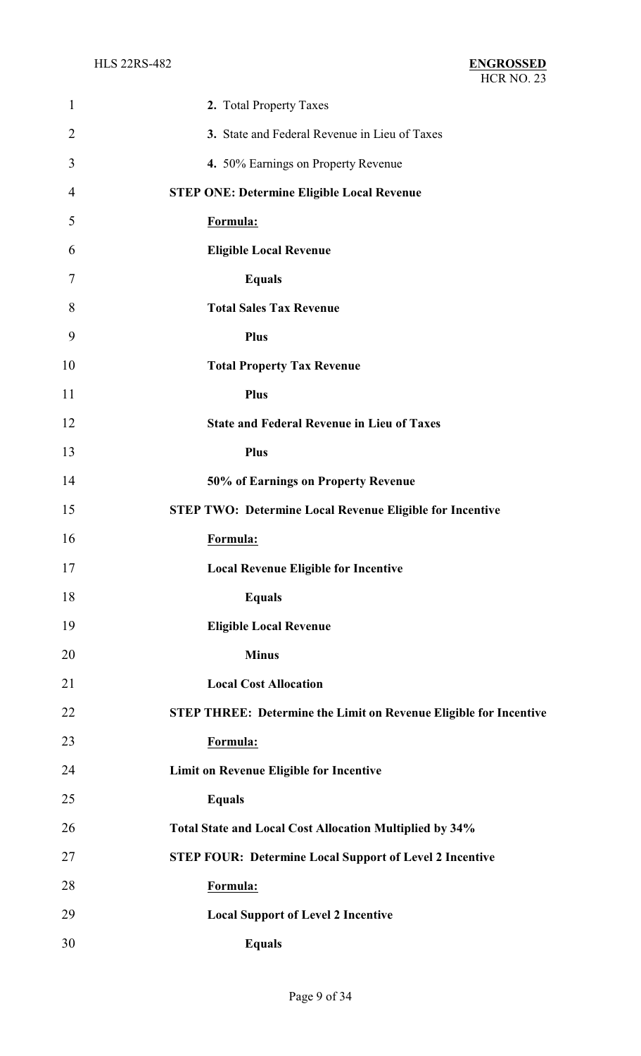| $\mathbf{1}$   | 2. Total Property Taxes                                                  |
|----------------|--------------------------------------------------------------------------|
| $\overline{2}$ | 3. State and Federal Revenue in Lieu of Taxes                            |
| 3              | 4. 50% Earnings on Property Revenue                                      |
| 4              | <b>STEP ONE: Determine Eligible Local Revenue</b>                        |
| 5              | Formula:                                                                 |
| 6              | <b>Eligible Local Revenue</b>                                            |
| 7              | <b>Equals</b>                                                            |
| 8              | <b>Total Sales Tax Revenue</b>                                           |
| 9              | <b>Plus</b>                                                              |
| 10             | <b>Total Property Tax Revenue</b>                                        |
| 11             | <b>Plus</b>                                                              |
| 12             | <b>State and Federal Revenue in Lieu of Taxes</b>                        |
| 13             | <b>Plus</b>                                                              |
| 14             | 50% of Earnings on Property Revenue                                      |
| 15             | <b>STEP TWO: Determine Local Revenue Eligible for Incentive</b>          |
| 16             | Formula:                                                                 |
| 17             | <b>Local Revenue Eligible for Incentive</b>                              |
| 18             | <b>Equals</b>                                                            |
| 19             | <b>Eligible Local Revenue</b>                                            |
| 20             | <b>Minus</b>                                                             |
| 21             | <b>Local Cost Allocation</b>                                             |
| 22             | <b>STEP THREE: Determine the Limit on Revenue Eligible for Incentive</b> |
| 23             | Formula:                                                                 |
| 24             | Limit on Revenue Eligible for Incentive                                  |
| 25             | <b>Equals</b>                                                            |
| 26             | Total State and Local Cost Allocation Multiplied by 34%                  |
| 27             | <b>STEP FOUR: Determine Local Support of Level 2 Incentive</b>           |
| 28             | Formula:                                                                 |
| 29             | <b>Local Support of Level 2 Incentive</b>                                |
| 30             | <b>Equals</b>                                                            |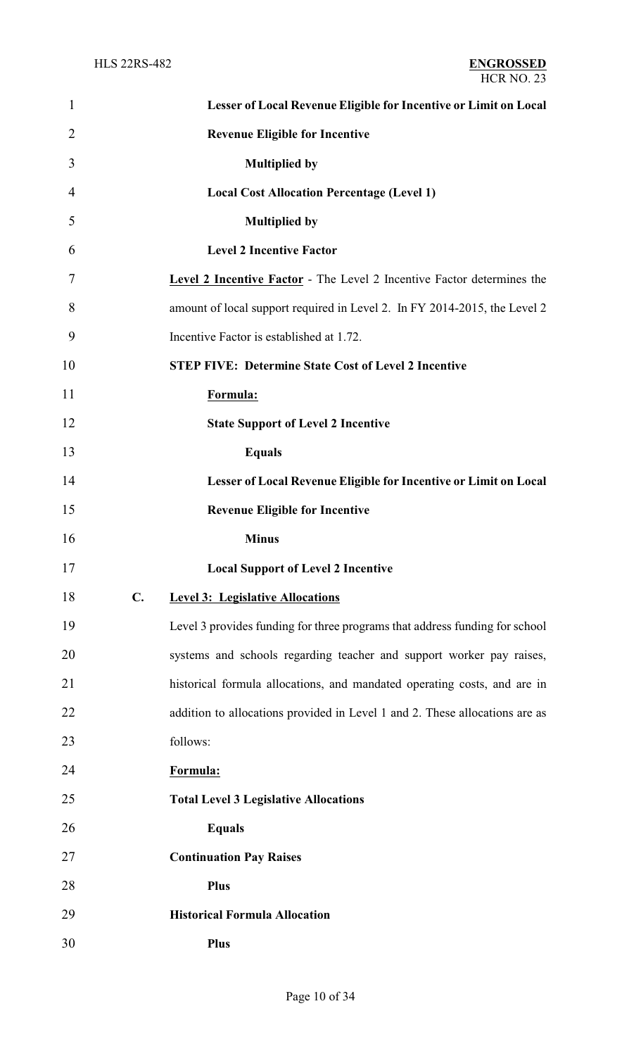| $\mathbf{1}$   |                | Lesser of Local Revenue Eligible for Incentive or Limit on Local              |
|----------------|----------------|-------------------------------------------------------------------------------|
| $\overline{2}$ |                | <b>Revenue Eligible for Incentive</b>                                         |
| 3              |                | <b>Multiplied by</b>                                                          |
| 4              |                | <b>Local Cost Allocation Percentage (Level 1)</b>                             |
| 5              |                | <b>Multiplied by</b>                                                          |
| 6              |                | <b>Level 2 Incentive Factor</b>                                               |
| 7              |                | <b>Level 2 Incentive Factor</b> - The Level 2 Incentive Factor determines the |
| 8              |                | amount of local support required in Level 2. In FY 2014-2015, the Level 2     |
| 9              |                | Incentive Factor is established at 1.72.                                      |
| 10             |                | <b>STEP FIVE: Determine State Cost of Level 2 Incentive</b>                   |
| 11             |                | Formula:                                                                      |
| 12             |                | <b>State Support of Level 2 Incentive</b>                                     |
| 13             |                | <b>Equals</b>                                                                 |
| 14             |                | Lesser of Local Revenue Eligible for Incentive or Limit on Local              |
| 15             |                | <b>Revenue Eligible for Incentive</b>                                         |
|                |                |                                                                               |
| 16             |                | <b>Minus</b>                                                                  |
| 17             |                | <b>Local Support of Level 2 Incentive</b>                                     |
| 18             | $\mathbf{C}$ . | <b>Level 3: Legislative Allocations</b>                                       |
| 19             |                | Level 3 provides funding for three programs that address funding for school   |
| 20             |                | systems and schools regarding teacher and support worker pay raises,          |
| 21             |                | historical formula allocations, and mandated operating costs, and are in      |
| 22             |                | addition to allocations provided in Level 1 and 2. These allocations are as   |
| 23             |                | follows:                                                                      |
| 24             |                | Formula:                                                                      |
| 25             |                | <b>Total Level 3 Legislative Allocations</b>                                  |
| 26             |                | <b>Equals</b>                                                                 |
| 27             |                | <b>Continuation Pay Raises</b>                                                |
| 28             |                | Plus                                                                          |
| 29             |                | <b>Historical Formula Allocation</b>                                          |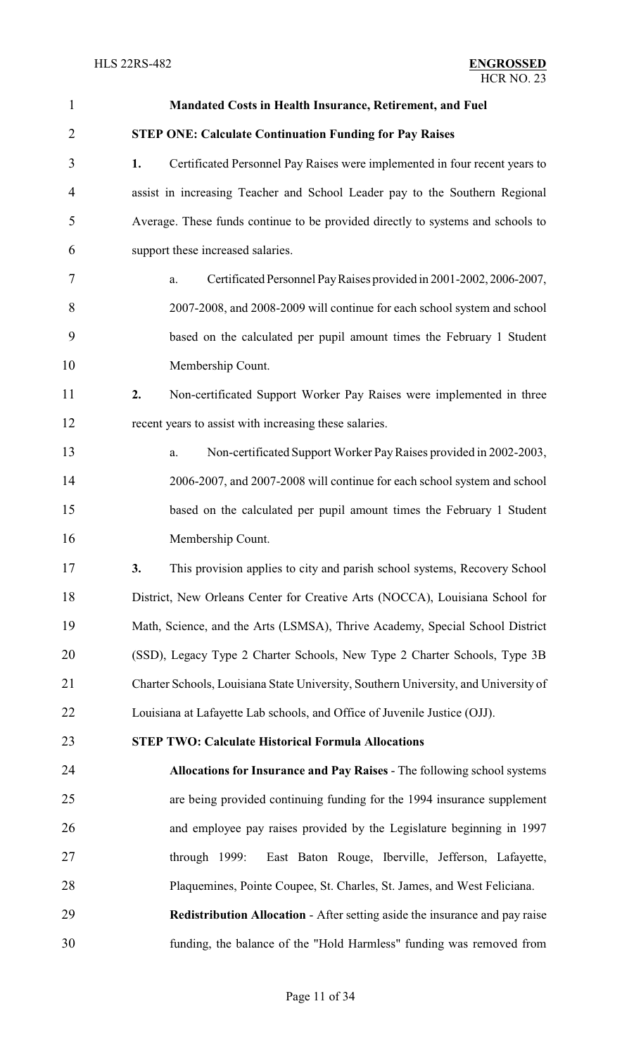| $\mathbf{1}$   | Mandated Costs in Health Insurance, Retirement, and Fuel                            |
|----------------|-------------------------------------------------------------------------------------|
| $\overline{2}$ | <b>STEP ONE: Calculate Continuation Funding for Pay Raises</b>                      |
| 3              | 1.<br>Certificated Personnel Pay Raises were implemented in four recent years to    |
| $\overline{4}$ | assist in increasing Teacher and School Leader pay to the Southern Regional         |
| 5              | Average. These funds continue to be provided directly to systems and schools to     |
| 6              | support these increased salaries.                                                   |
| 7              | Certificated Personnel Pay Raises provided in 2001-2002, 2006-2007,<br>a.           |
| 8              | 2007-2008, and 2008-2009 will continue for each school system and school            |
| 9              | based on the calculated per pupil amount times the February 1 Student               |
| 10             | Membership Count.                                                                   |
| 11             | Non-certificated Support Worker Pay Raises were implemented in three<br>2.          |
| 12             | recent years to assist with increasing these salaries.                              |
| 13             | Non-certificated Support Worker Pay Raises provided in 2002-2003,<br>a.             |
| 14             | 2006-2007, and 2007-2008 will continue for each school system and school            |
| 15             | based on the calculated per pupil amount times the February 1 Student               |
| 16             | Membership Count.                                                                   |
| 17             | This provision applies to city and parish school systems, Recovery School<br>3.     |
| 18             | District, New Orleans Center for Creative Arts (NOCCA), Louisiana School for        |
| 19             | Math, Science, and the Arts (LSMSA), Thrive Academy, Special School District        |
| 20             | (SSD), Legacy Type 2 Charter Schools, New Type 2 Charter Schools, Type 3B           |
| 21             | Charter Schools, Louisiana State University, Southern University, and University of |
| 22             | Louisiana at Lafayette Lab schools, and Office of Juvenile Justice (OJJ).           |
| 23             | <b>STEP TWO: Calculate Historical Formula Allocations</b>                           |
| 24             | Allocations for Insurance and Pay Raises - The following school systems             |
| 25             | are being provided continuing funding for the 1994 insurance supplement             |
| 26             | and employee pay raises provided by the Legislature beginning in 1997               |
| 27             | East Baton Rouge, Iberville, Jefferson, Lafayette,<br>through $1999$ :              |
| 28             | Plaquemines, Pointe Coupee, St. Charles, St. James, and West Feliciana.             |
| 29             | <b>Redistribution Allocation - After setting aside the insurance and pay raise</b>  |
| 30             | funding, the balance of the "Hold Harmless" funding was removed from                |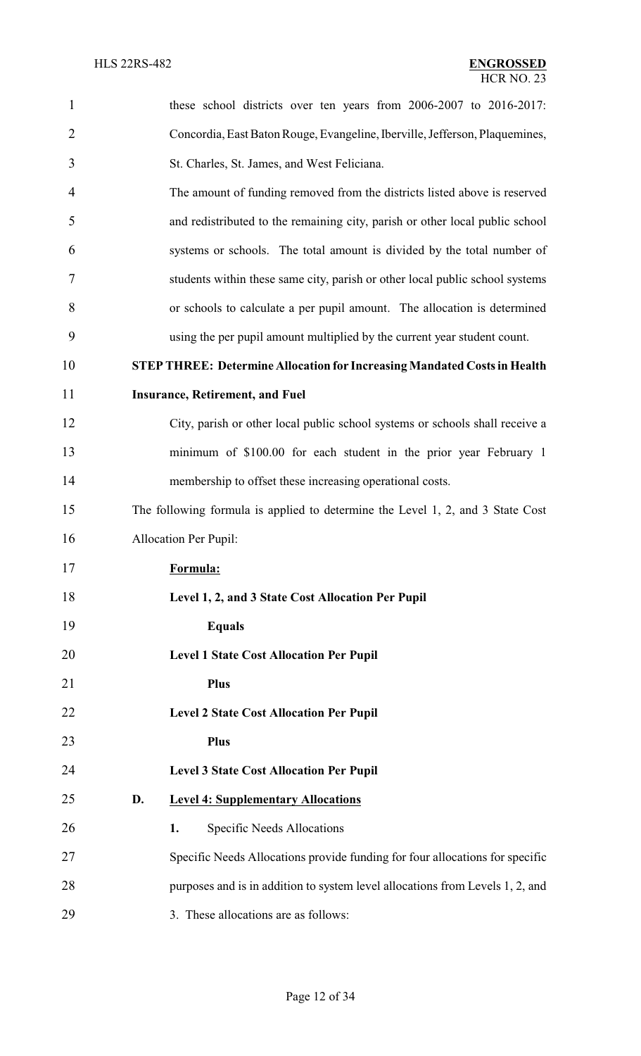| $\mathbf{1}$   | these school districts over ten years from 2006-2007 to 2016-2017:              |
|----------------|---------------------------------------------------------------------------------|
| $\overline{2}$ | Concordia, East Baton Rouge, Evangeline, Iberville, Jefferson, Plaquemines,     |
| 3              | St. Charles, St. James, and West Feliciana.                                     |
| 4              | The amount of funding removed from the districts listed above is reserved       |
| 5              | and redistributed to the remaining city, parish or other local public school    |
| 6              | systems or schools. The total amount is divided by the total number of          |
| 7              | students within these same city, parish or other local public school systems    |
| 8              | or schools to calculate a per pupil amount. The allocation is determined        |
| 9              | using the per pupil amount multiplied by the current year student count.        |
| 10             | <b>STEP THREE: Determine Allocation for Increasing Mandated Costs in Health</b> |
| 11             | <b>Insurance, Retirement, and Fuel</b>                                          |
| 12             | City, parish or other local public school systems or schools shall receive a    |
| 13             | minimum of \$100.00 for each student in the prior year February 1               |
| 14             | membership to offset these increasing operational costs.                        |
| 15             | The following formula is applied to determine the Level 1, 2, and 3 State Cost  |
| 16             | <b>Allocation Per Pupil:</b>                                                    |
| 17             | Formula:                                                                        |
| 18             | Level 1, 2, and 3 State Cost Allocation Per Pupil                               |
| 19             | <b>Equals</b>                                                                   |
| 20             | <b>Level 1 State Cost Allocation Per Pupil</b>                                  |
| 21             | <b>Plus</b>                                                                     |
| 22             | <b>Level 2 State Cost Allocation Per Pupil</b>                                  |
| 23             | <b>Plus</b>                                                                     |
| 24             | <b>Level 3 State Cost Allocation Per Pupil</b>                                  |
| 25             | <b>Level 4: Supplementary Allocations</b><br>D.                                 |
| 26             | <b>Specific Needs Allocations</b><br>1.                                         |
| 27             | Specific Needs Allocations provide funding for four allocations for specific    |
| 28             | purposes and is in addition to system level allocations from Levels 1, 2, and   |
| 29             | 3. These allocations are as follows:                                            |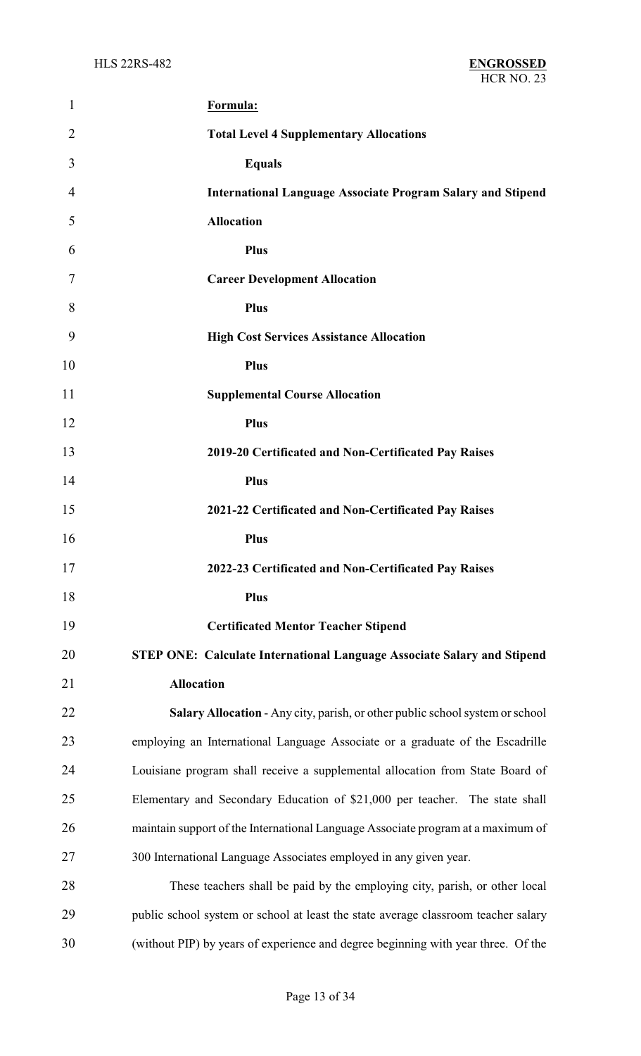| 1  | Formula:                                                                           |
|----|------------------------------------------------------------------------------------|
| 2  | <b>Total Level 4 Supplementary Allocations</b>                                     |
| 3  | <b>Equals</b>                                                                      |
| 4  | <b>International Language Associate Program Salary and Stipend</b>                 |
| 5  | <b>Allocation</b>                                                                  |
| 6  | <b>Plus</b>                                                                        |
| 7  | <b>Career Development Allocation</b>                                               |
| 8  | <b>Plus</b>                                                                        |
| 9  | <b>High Cost Services Assistance Allocation</b>                                    |
| 10 | <b>Plus</b>                                                                        |
| 11 | <b>Supplemental Course Allocation</b>                                              |
| 12 | <b>Plus</b>                                                                        |
| 13 | 2019-20 Certificated and Non-Certificated Pay Raises                               |
| 14 | <b>Plus</b>                                                                        |
| 15 | 2021-22 Certificated and Non-Certificated Pay Raises                               |
| 16 | <b>Plus</b>                                                                        |
| 17 | 2022-23 Certificated and Non-Certificated Pay Raises                               |
| 18 | <b>Plus</b>                                                                        |
| 19 | <b>Certificated Mentor Teacher Stipend</b>                                         |
| 20 | <b>STEP ONE: Calculate International Language Associate Salary and Stipend</b>     |
| 21 | <b>Allocation</b>                                                                  |
| 22 | Salary Allocation - Any city, parish, or other public school system or school      |
| 23 | employing an International Language Associate or a graduate of the Escadrille      |
| 24 | Louisiane program shall receive a supplemental allocation from State Board of      |
| 25 | Elementary and Secondary Education of \$21,000 per teacher. The state shall        |
| 26 | maintain support of the International Language Associate program at a maximum of   |
| 27 | 300 International Language Associates employed in any given year.                  |
| 28 | These teachers shall be paid by the employing city, parish, or other local         |
| 29 | public school system or school at least the state average classroom teacher salary |
| 30 | (without PIP) by years of experience and degree beginning with year three. Of the  |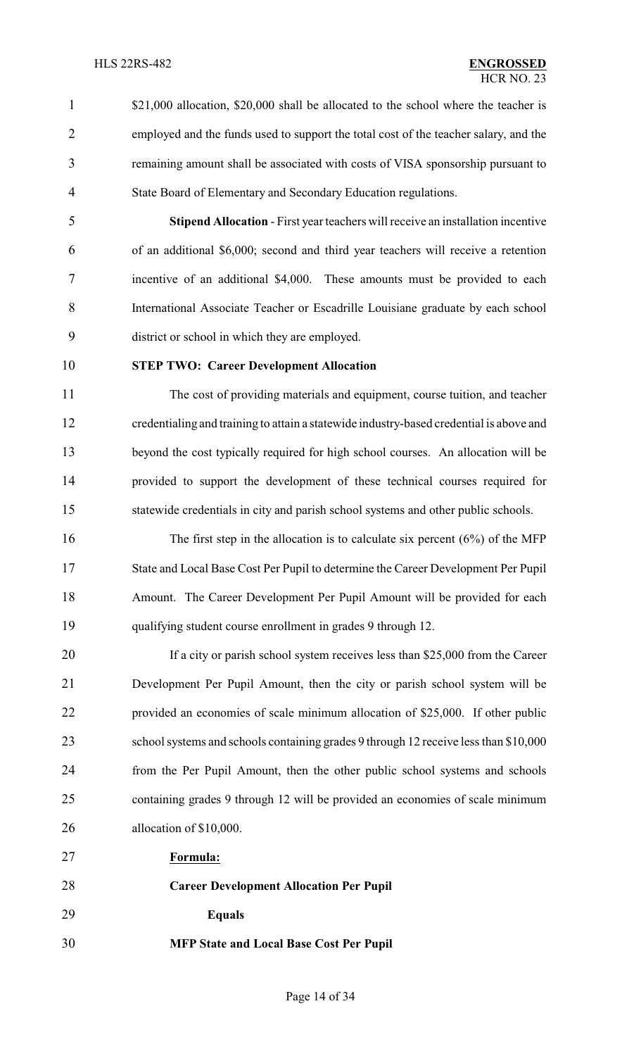- 1 \$21,000 allocation, \$20,000 shall be allocated to the school where the teacher is employed and the funds used to support the total cost of the teacher salary, and the remaining amount shall be associated with costs of VISA sponsorship pursuant to
- State Board of Elementary and Secondary Education regulations.

 **Stipend Allocation** - First year teachers will receive an installation incentive of an additional \$6,000; second and third year teachers will receive a retention incentive of an additional \$4,000. These amounts must be provided to each International Associate Teacher or Escadrille Louisiane graduate by each school district or school in which they are employed.

#### **STEP TWO: Career Development Allocation**

 The cost of providing materials and equipment, course tuition, and teacher credentialing and training to attain a statewide industry-based credential is above and beyond the cost typically required for high school courses. An allocation will be provided to support the development of these technical courses required for statewide credentials in city and parish school systems and other public schools.

16 The first step in the allocation is to calculate six percent (6%) of the MFP State and Local Base Cost Per Pupil to determine the Career Development Per Pupil Amount. The Career Development Per Pupil Amount will be provided for each qualifying student course enrollment in grades 9 through 12.

20 If a city or parish school system receives less than \$25,000 from the Career Development Per Pupil Amount, then the city or parish school system will be provided an economies of scale minimum allocation of \$25,000. If other public school systems and schools containing grades 9 through 12 receive less than \$10,000 from the Per Pupil Amount, then the other public school systems and schools containing grades 9 through 12 will be provided an economies of scale minimum allocation of \$10,000.

**Formula:**

 **Career Development Allocation Per Pupil Equals MFP State and Local Base Cost Per Pupil**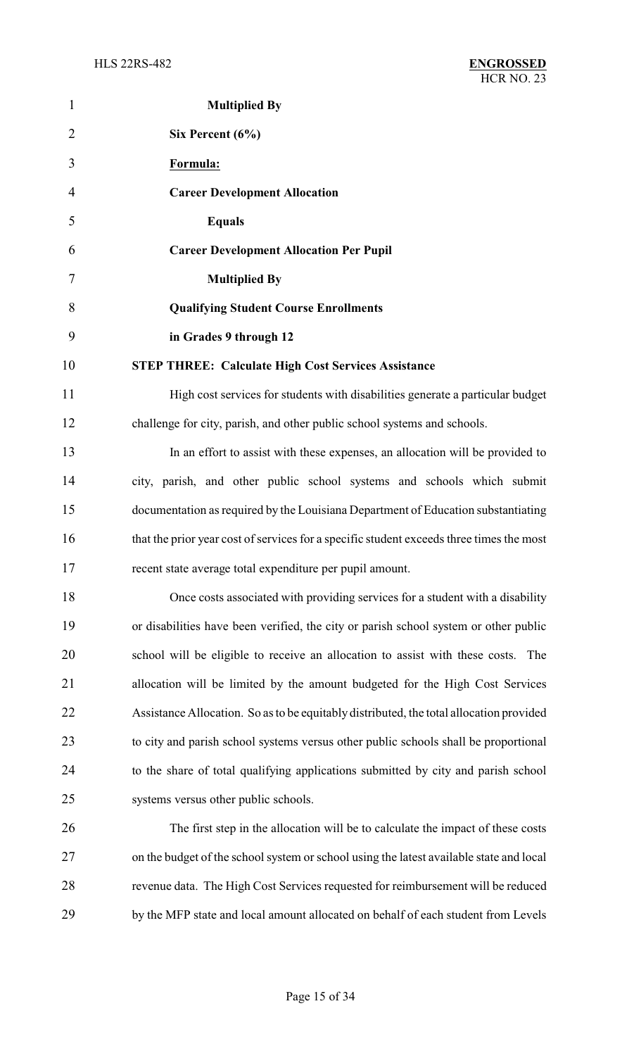| 1              | <b>Multiplied By</b>                                                                     |
|----------------|------------------------------------------------------------------------------------------|
| $\overline{2}$ | Six Percent (6%)                                                                         |
| 3              | Formula:                                                                                 |
| 4              | <b>Career Development Allocation</b>                                                     |
| 5              | <b>Equals</b>                                                                            |
| 6              | <b>Career Development Allocation Per Pupil</b>                                           |
| 7              | <b>Multiplied By</b>                                                                     |
| 8              | <b>Qualifying Student Course Enrollments</b>                                             |
| 9              | in Grades 9 through 12                                                                   |
| 10             | <b>STEP THREE: Calculate High Cost Services Assistance</b>                               |
| 11             | High cost services for students with disabilities generate a particular budget           |
| 12             | challenge for city, parish, and other public school systems and schools.                 |
| 13             | In an effort to assist with these expenses, an allocation will be provided to            |
| 14             | city, parish, and other public school systems and schools which submit                   |
| 15             | documentation as required by the Louisiana Department of Education substantiating        |
| 16             | that the prior year cost of services for a specific student exceeds three times the most |
| 17             | recent state average total expenditure per pupil amount.                                 |
| 18             | Once costs associated with providing services for a student with a disability            |
| 19             | or disabilities have been verified, the city or parish school system or other public     |
| 20             | school will be eligible to receive an allocation to assist with these costs.<br>The      |
| 21             | allocation will be limited by the amount budgeted for the High Cost Services             |
| 22             | Assistance Allocation. So as to be equitably distributed, the total allocation provided  |
| 23             | to city and parish school systems versus other public schools shall be proportional      |
| 24             | to the share of total qualifying applications submitted by city and parish school        |
| 25             | systems versus other public schools.                                                     |
| 26             | The first step in the allocation will be to calculate the impact of these costs          |
| 27             | on the budget of the school system or school using the latest available state and local  |
| 28             | revenue data. The High Cost Services requested for reimbursement will be reduced         |
| 29             | by the MFP state and local amount allocated on behalf of each student from Levels        |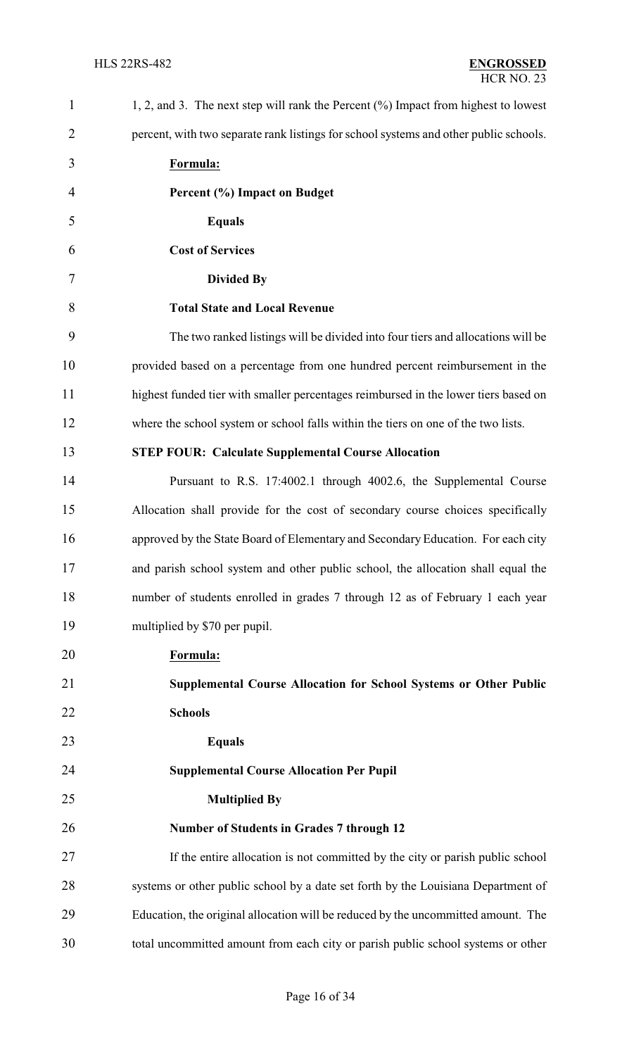| $\mathbf{1}$   | 1, 2, and 3. The next step will rank the Percent $(\%)$ Impact from highest to lowest |
|----------------|---------------------------------------------------------------------------------------|
| $\overline{2}$ | percent, with two separate rank listings for school systems and other public schools. |
| 3              | Formula:                                                                              |
| 4              | Percent (%) Impact on Budget                                                          |
| 5              | <b>Equals</b>                                                                         |
| 6              | <b>Cost of Services</b>                                                               |
| 7              | <b>Divided By</b>                                                                     |
| 8              | <b>Total State and Local Revenue</b>                                                  |
| 9              | The two ranked listings will be divided into four tiers and allocations will be       |
| 10             | provided based on a percentage from one hundred percent reimbursement in the          |
| 11             | highest funded tier with smaller percentages reimbursed in the lower tiers based on   |
| 12             | where the school system or school falls within the tiers on one of the two lists.     |
| 13             | <b>STEP FOUR: Calculate Supplemental Course Allocation</b>                            |
| 14             | Pursuant to R.S. 17:4002.1 through 4002.6, the Supplemental Course                    |
| 15             | Allocation shall provide for the cost of secondary course choices specifically        |
| 16             | approved by the State Board of Elementary and Secondary Education. For each city      |
| 17             | and parish school system and other public school, the allocation shall equal the      |
| 18             | number of students enrolled in grades 7 through 12 as of February 1 each year         |
| 19             | multiplied by \$70 per pupil.                                                         |
| 20             | Formula:                                                                              |
| 21             | Supplemental Course Allocation for School Systems or Other Public                     |
| 22             | <b>Schools</b>                                                                        |
| 23             | <b>Equals</b>                                                                         |
| 24             | <b>Supplemental Course Allocation Per Pupil</b>                                       |
| 25             | <b>Multiplied By</b>                                                                  |
| 26             | <b>Number of Students in Grades 7 through 12</b>                                      |
| 27             | If the entire allocation is not committed by the city or parish public school         |
| 28             | systems or other public school by a date set forth by the Louisiana Department of     |
| 29             | Education, the original allocation will be reduced by the uncommitted amount. The     |
| 30             | total uncommitted amount from each city or parish public school systems or other      |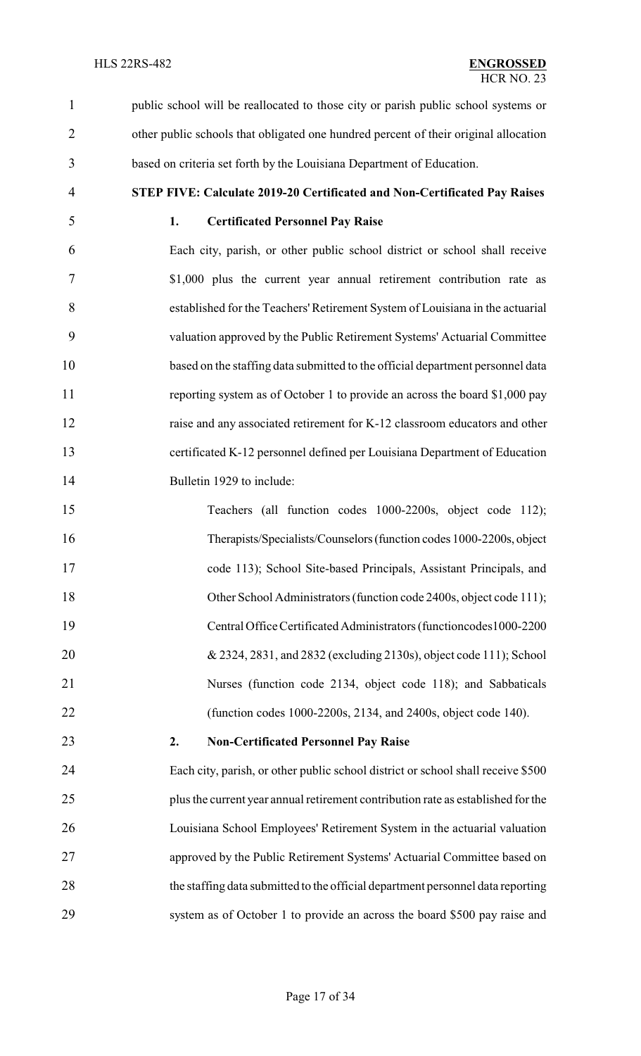public school will be reallocated to those city or parish public school systems or other public schools that obligated one hundred percent of their original allocation based on criteria set forth by the Louisiana Department of Education.

**STEP FIVE: Calculate 2019-20 Certificated and Non-Certificated Pay Raises**

#### **1. Certificated Personnel Pay Raise**

 Each city, parish, or other public school district or school shall receive \$1,000 plus the current year annual retirement contribution rate as established for the Teachers'Retirement System of Louisiana in the actuarial valuation approved by the Public Retirement Systems' Actuarial Committee based on the staffing data submitted to the official department personnel data reporting system as of October 1 to provide an across the board \$1,000 pay 12 raise and any associated retirement for K-12 classroom educators and other certificated K-12 personnel defined per Louisiana Department of Education Bulletin 1929 to include:

 Teachers (all function codes 1000-2200s, object code 112); Therapists/Specialists/Counselors(function codes 1000-2200s, object code 113); School Site-based Principals, Assistant Principals, and 18 Other School Administrators (function code 2400s, object code 111); Central Office Certificated Administrators (functioncodes1000-2200 & 2324, 2831, and 2832 (excluding 2130s), object code 111); School Nurses (function code 2134, object code 118); and Sabbaticals (function codes 1000-2200s, 2134, and 2400s, object code 140).

### **2. Non-Certificated Personnel Pay Raise**

 Each city, parish, or other public school district or school shall receive \$500 plus the current year annual retirement contribution rate as established for the Louisiana School Employees' Retirement System in the actuarial valuation approved by the Public Retirement Systems' Actuarial Committee based on the staffing data submitted to the official department personnel data reporting system as of October 1 to provide an across the board \$500 pay raise and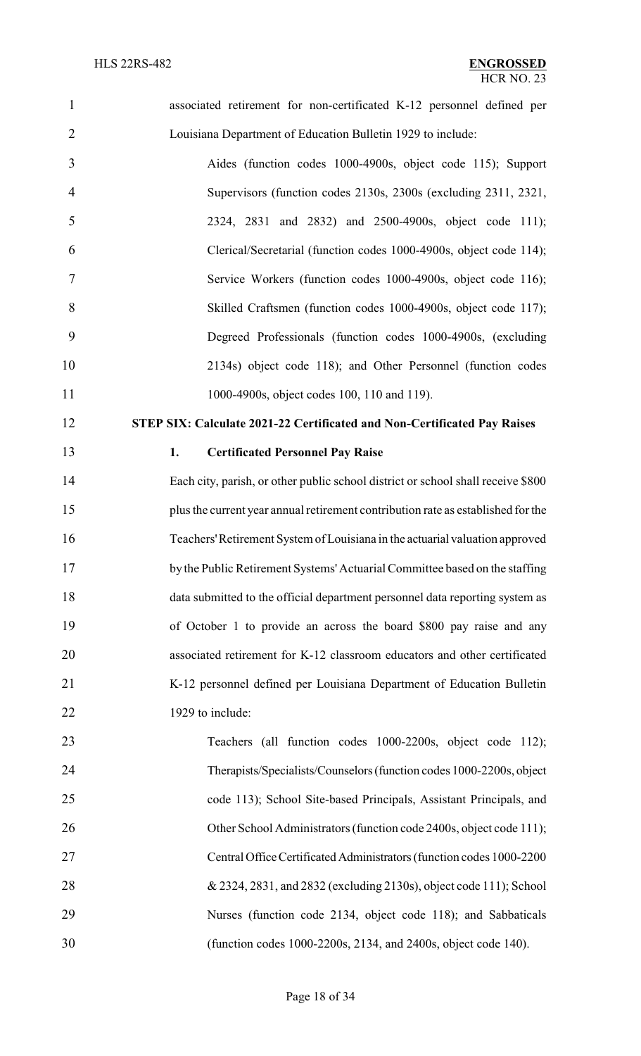| $\mathbf{1}$   | associated retirement for non-certificated K-12 personnel defined per            |
|----------------|----------------------------------------------------------------------------------|
| $\overline{2}$ | Louisiana Department of Education Bulletin 1929 to include:                      |
| 3              | Aides (function codes 1000-4900s, object code 115); Support                      |
| $\overline{4}$ | Supervisors (function codes 2130s, 2300s (excluding 2311, 2321,                  |
| 5              | 2324, 2831 and 2832) and 2500-4900s, object code 111);                           |
| 6              | Clerical/Secretarial (function codes 1000-4900s, object code 114);               |
| 7              | Service Workers (function codes 1000-4900s, object code 116);                    |
| 8              | Skilled Craftsmen (function codes 1000-4900s, object code 117);                  |
| 9              | Degreed Professionals (function codes 1000-4900s, (excluding                     |
| 10             | 2134s) object code 118); and Other Personnel (function codes                     |
| 11             | 1000-4900s, object codes 100, 110 and 119).                                      |
| 12             | STEP SIX: Calculate 2021-22 Certificated and Non-Certificated Pay Raises         |
| 13             | <b>Certificated Personnel Pay Raise</b><br>1.                                    |
| 14             | Each city, parish, or other public school district or school shall receive \$800 |
| 15             | plus the current year annual retirement contribution rate as established for the |
| 16             | Teachers' Retirement System of Louisiana in the actuarial valuation approved     |
| 17             | by the Public Retirement Systems' Actuarial Committee based on the staffing      |
| 18             | data submitted to the official department personnel data reporting system as     |
| 19             | of October 1 to provide an across the board \$800 pay raise and any              |
| 20             | associated retirement for K-12 classroom educators and other certificated        |
| 21             | K-12 personnel defined per Louisiana Department of Education Bulletin            |
| 22             | 1929 to include:                                                                 |
| 23             | Teachers (all function codes 1000-2200s, object code 112);                       |
| 24             | Therapists/Specialists/Counselors (function codes 1000-2200s, object             |
| 25             | code 113); School Site-based Principals, Assistant Principals, and               |
| 26             | Other School Administrators (function code 2400s, object code 111);              |
| 27             | Central Office Certificated Administrators (function codes 1000-2200             |
| 28             | & 2324, 2831, and 2832 (excluding 2130s), object code 111); School               |
| 29             | Nurses (function code 2134, object code 118); and Sabbaticals                    |
| 30             | (function codes 1000-2200s, 2134, and 2400s, object code 140).                   |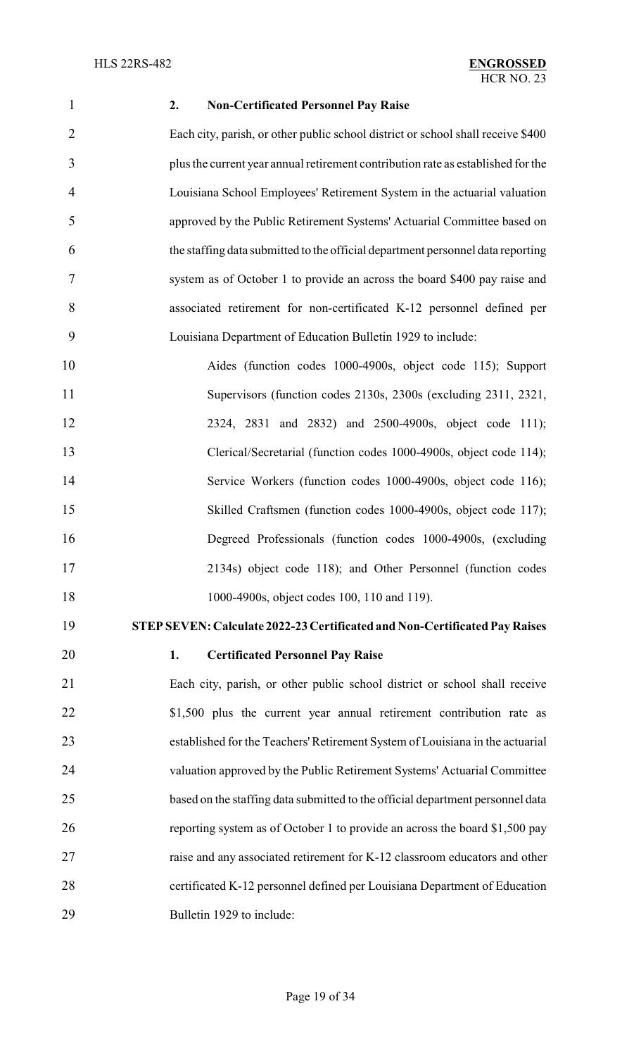#### **2. Non-Certificated Personnel Pay Raise**

 Each city, parish, or other public school district or school shall receive \$400 plus the current year annual retirement contribution rate as established for the Louisiana School Employees' Retirement System in the actuarial valuation approved by the Public Retirement Systems' Actuarial Committee based on the staffing data submitted to the official department personnel data reporting system as of October 1 to provide an across the board \$400 pay raise and associated retirement for non-certificated K-12 personnel defined per Louisiana Department of Education Bulletin 1929 to include:

 Aides (function codes 1000-4900s, object code 115); Support Supervisors (function codes 2130s, 2300s (excluding 2311, 2321, 2324, 2831 and 2832) and 2500-4900s, object code 111); Clerical/Secretarial (function codes 1000-4900s, object code 114); Service Workers (function codes 1000-4900s, object code 116); Skilled Craftsmen (function codes 1000-4900s, object code 117); Degreed Professionals (function codes 1000-4900s, (excluding 2134s) object code 118); and Other Personnel (function codes 1000-4900s, object codes 100, 110 and 119).

**STEPSEVEN: Calculate 2022-23 Certificated and Non-Certificated Pay Raises**

## **1. Certificated Personnel Pay Raise**

 Each city, parish, or other public school district or school shall receive 22 \$1,500 plus the current year annual retirement contribution rate as established for the Teachers'Retirement System of Louisiana in the actuarial valuation approved by the Public Retirement Systems' Actuarial Committee based on the staffing data submitted to the official department personnel data reporting system as of October 1 to provide an across the board \$1,500 pay raise and any associated retirement for K-12 classroom educators and other certificated K-12 personnel defined per Louisiana Department of Education Bulletin 1929 to include: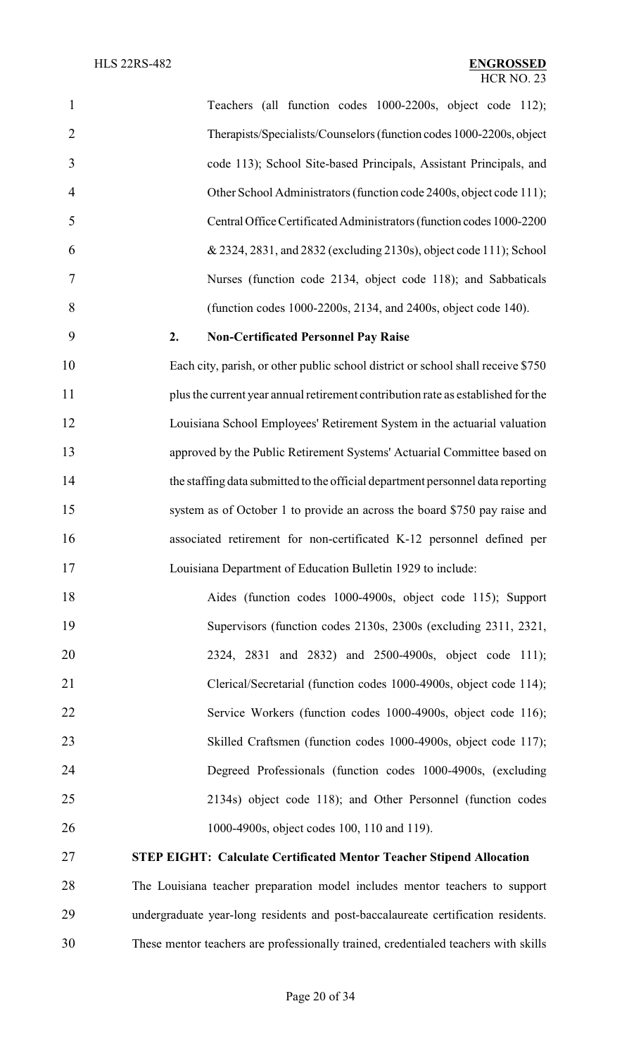| $\mathbf{1}$   | Teachers (all function codes 1000-2200s, object code 112);                       |
|----------------|----------------------------------------------------------------------------------|
| $\overline{2}$ | Therapists/Specialists/Counselors (function codes 1000-2200s, object             |
| 3              | code 113); School Site-based Principals, Assistant Principals, and               |
| 4              | Other School Administrators (function code 2400s, object code 111);              |
| 5              | Central Office Certificated Administrators (function codes 1000-2200             |
| 6              | & 2324, 2831, and 2832 (excluding 2130s), object code 111); School               |
| 7              | Nurses (function code 2134, object code 118); and Sabbaticals                    |
| 8              | (function codes 1000-2200s, 2134, and 2400s, object code 140).                   |
| 9              | <b>Non-Certificated Personnel Pay Raise</b><br>2.                                |
| 10             | Each city, parish, or other public school district or school shall receive \$750 |
| 11             | plus the current year annual retirement contribution rate as established for the |
| 12             | Louisiana School Employees' Retirement System in the actuarial valuation         |
| 13             | approved by the Public Retirement Systems' Actuarial Committee based on          |
| 14             | the staffing data submitted to the official department personnel data reporting  |
| 15             | system as of October 1 to provide an across the board \$750 pay raise and        |
| 16             | associated retirement for non-certificated K-12 personnel defined per            |
| 17             | Louisiana Department of Education Bulletin 1929 to include:                      |
| 18             | Aides (function codes 1000-4900s, object code 115); Support                      |
| 19             | Supervisors (function codes 2130s, 2300s (excluding 2311, 2321,                  |
| 20             | 2324, 2831 and 2832) and 2500-4900s, object code 111);                           |
| 21             | Clerical/Secretarial (function codes 1000-4900s, object code 114);               |
| 22             | Service Workers (function codes 1000-4900s, object code 116);                    |
| 23             | Skilled Craftsmen (function codes 1000-4900s, object code 117);                  |
| 24             | Degreed Professionals (function codes 1000-4900s, (excluding                     |
| 25             | 2134s) object code 118); and Other Personnel (function codes                     |
| 26             | 1000-4900s, object codes 100, 110 and 119).                                      |
| 27             | <b>STEP EIGHT: Calculate Certificated Mentor Teacher Stipend Allocation</b>      |

 The Louisiana teacher preparation model includes mentor teachers to support undergraduate year-long residents and post-baccalaureate certification residents. These mentor teachers are professionally trained, credentialed teachers with skills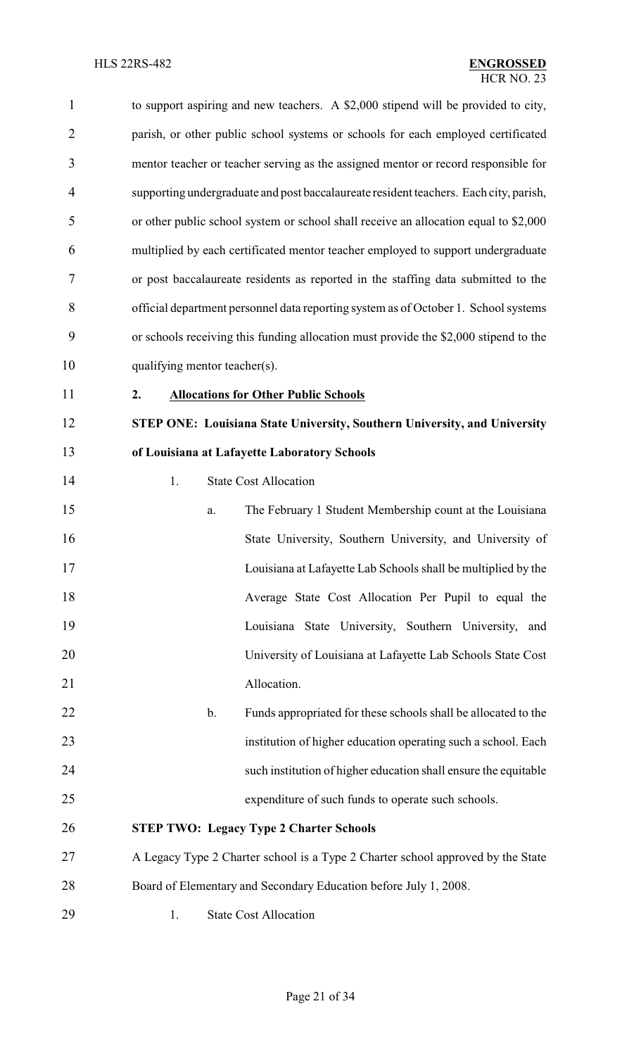| $\mathbf{1}$   | to support aspiring and new teachers. A \$2,000 stipend will be provided to city,     |  |  |  |  |  |
|----------------|---------------------------------------------------------------------------------------|--|--|--|--|--|
| $\overline{2}$ | parish, or other public school systems or schools for each employed certificated      |  |  |  |  |  |
| 3              | mentor teacher or teacher serving as the assigned mentor or record responsible for    |  |  |  |  |  |
| $\overline{4}$ | supporting undergraduate and post baccalaureate resident teachers. Each city, parish, |  |  |  |  |  |
| 5              | or other public school system or school shall receive an allocation equal to \$2,000  |  |  |  |  |  |
| 6              | multiplied by each certificated mentor teacher employed to support undergraduate      |  |  |  |  |  |
| 7              | or post baccalaureate residents as reported in the staffing data submitted to the     |  |  |  |  |  |
| 8              | official department personnel data reporting system as of October 1. School systems   |  |  |  |  |  |
| 9              | or schools receiving this funding allocation must provide the \$2,000 stipend to the  |  |  |  |  |  |
| 10             | qualifying mentor teacher(s).                                                         |  |  |  |  |  |
| 11             | <b>Allocations for Other Public Schools</b><br>2.                                     |  |  |  |  |  |
| 12             | STEP ONE: Louisiana State University, Southern University, and University             |  |  |  |  |  |
| 13             | of Louisiana at Lafayette Laboratory Schools                                          |  |  |  |  |  |
| 14             | <b>State Cost Allocation</b><br>1.                                                    |  |  |  |  |  |
| 15             | The February 1 Student Membership count at the Louisiana<br>a.                        |  |  |  |  |  |
| 16             | State University, Southern University, and University of                              |  |  |  |  |  |
| 17             | Louisiana at Lafayette Lab Schools shall be multiplied by the                         |  |  |  |  |  |
| 18             | Average State Cost Allocation Per Pupil to equal the                                  |  |  |  |  |  |
| 19             | Louisiana State University, Southern University, and                                  |  |  |  |  |  |
| 20             | University of Louisiana at Lafayette Lab Schools State Cost                           |  |  |  |  |  |
| 21             | Allocation.                                                                           |  |  |  |  |  |
| 22             | Funds appropriated for these schools shall be allocated to the<br>$\mathbf b$ .       |  |  |  |  |  |
| 23             | institution of higher education operating such a school. Each                         |  |  |  |  |  |
| 24             | such institution of higher education shall ensure the equitable                       |  |  |  |  |  |
| 25             | expenditure of such funds to operate such schools.                                    |  |  |  |  |  |
| 26             | <b>STEP TWO: Legacy Type 2 Charter Schools</b>                                        |  |  |  |  |  |
| 27             | A Legacy Type 2 Charter school is a Type 2 Charter school approved by the State       |  |  |  |  |  |
| 28             | Board of Elementary and Secondary Education before July 1, 2008.                      |  |  |  |  |  |
| 29             | <b>State Cost Allocation</b><br>1.                                                    |  |  |  |  |  |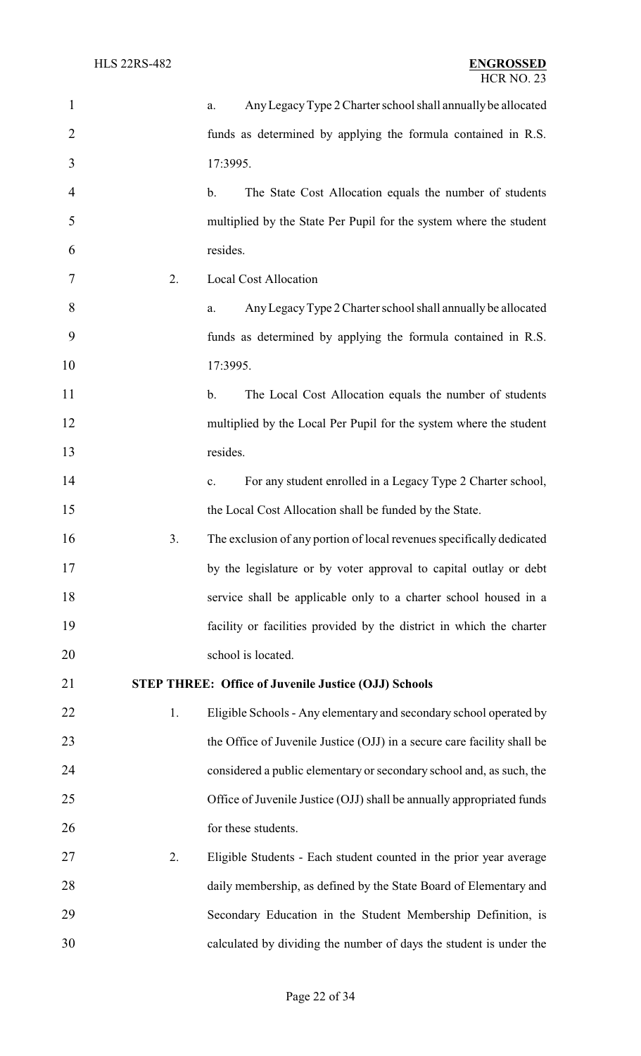| $\mathbf{1}$   |    | Any Legacy Type 2 Charter school shall annually be allocated<br>a.            |  |  |  |
|----------------|----|-------------------------------------------------------------------------------|--|--|--|
| $\overline{2}$ |    | funds as determined by applying the formula contained in R.S.                 |  |  |  |
| 3              |    | 17:3995.                                                                      |  |  |  |
| $\overline{4}$ |    | The State Cost Allocation equals the number of students<br>$\mathbf b$ .      |  |  |  |
| 5              |    | multiplied by the State Per Pupil for the system where the student            |  |  |  |
| 6              |    | resides.                                                                      |  |  |  |
| 7              | 2. | <b>Local Cost Allocation</b>                                                  |  |  |  |
| 8              |    | Any Legacy Type 2 Charter school shall annually be allocated<br>a.            |  |  |  |
| 9              |    | funds as determined by applying the formula contained in R.S.                 |  |  |  |
| 10             |    | 17:3995.                                                                      |  |  |  |
| 11             |    | The Local Cost Allocation equals the number of students<br>b.                 |  |  |  |
| 12             |    | multiplied by the Local Per Pupil for the system where the student            |  |  |  |
| 13             |    | resides.                                                                      |  |  |  |
| 14             |    | For any student enrolled in a Legacy Type 2 Charter school,<br>$\mathbf{c}$ . |  |  |  |
| 15             |    | the Local Cost Allocation shall be funded by the State.                       |  |  |  |
| 16             | 3. | The exclusion of any portion of local revenues specifically dedicated         |  |  |  |
| 17             |    | by the legislature or by voter approval to capital outlay or debt             |  |  |  |
| 18             |    | service shall be applicable only to a charter school housed in a              |  |  |  |
| 19             |    | facility or facilities provided by the district in which the charter          |  |  |  |
| 20             |    | school is located.                                                            |  |  |  |
| 21             |    | <b>STEP THREE: Office of Juvenile Justice (OJJ) Schools</b>                   |  |  |  |
| 22             | 1. | Eligible Schools - Any elementary and secondary school operated by            |  |  |  |
| 23             |    | the Office of Juvenile Justice (OJJ) in a secure care facility shall be       |  |  |  |
| 24             |    | considered a public elementary or secondary school and, as such, the          |  |  |  |
| 25             |    | Office of Juvenile Justice (OJJ) shall be annually appropriated funds         |  |  |  |
| 26             |    | for these students.                                                           |  |  |  |
| 27             | 2. | Eligible Students - Each student counted in the prior year average            |  |  |  |
| 28             |    | daily membership, as defined by the State Board of Elementary and             |  |  |  |
| 29             |    | Secondary Education in the Student Membership Definition, is                  |  |  |  |
| 30             |    | calculated by dividing the number of days the student is under the            |  |  |  |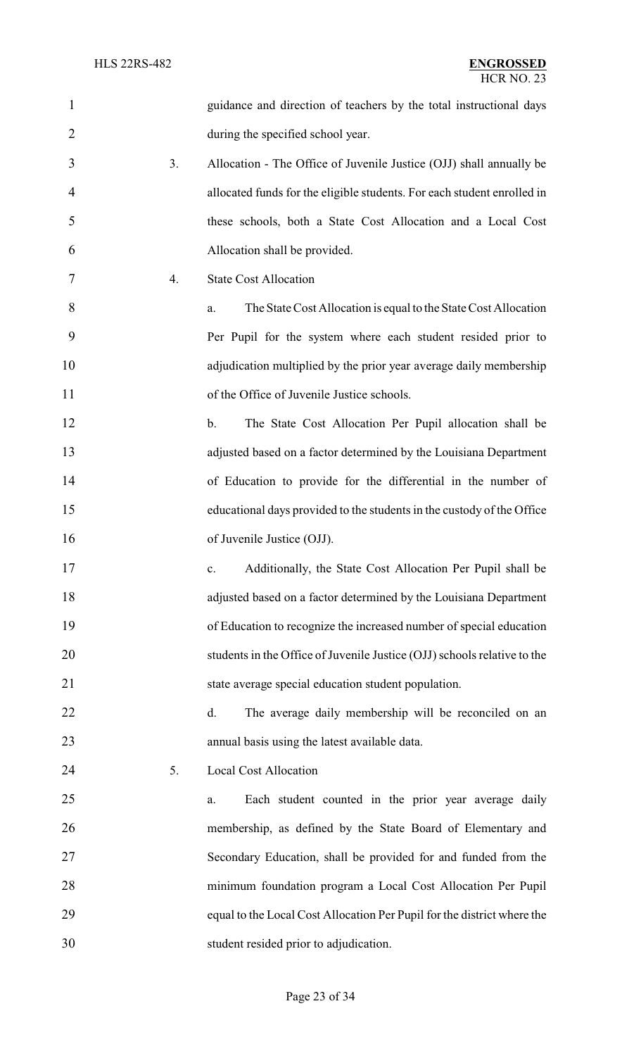| $\mathbf{1}$   |    | guidance and direction of teachers by the total instructional days       |
|----------------|----|--------------------------------------------------------------------------|
| $\overline{2}$ |    | during the specified school year.                                        |
| 3              | 3. | Allocation - The Office of Juvenile Justice (OJJ) shall annually be      |
| 4              |    | allocated funds for the eligible students. For each student enrolled in  |
| 5              |    | these schools, both a State Cost Allocation and a Local Cost             |
| 6              |    | Allocation shall be provided.                                            |
| 7              | 4. | <b>State Cost Allocation</b>                                             |
| 8              |    | The State Cost Allocation is equal to the State Cost Allocation<br>a.    |
| 9              |    | Per Pupil for the system where each student resided prior to             |
| 10             |    | adjudication multiplied by the prior year average daily membership       |
| 11             |    | of the Office of Juvenile Justice schools.                               |
| 12             |    | The State Cost Allocation Per Pupil allocation shall be<br>$\mathbf b$ . |
| 13             |    | adjusted based on a factor determined by the Louisiana Department        |
| 14             |    | of Education to provide for the differential in the number of            |
| 15             |    | educational days provided to the students in the custody of the Office   |
| 16             |    | of Juvenile Justice (OJJ).                                               |
| 17             |    | Additionally, the State Cost Allocation Per Pupil shall be<br>c.         |
| 18             |    | adjusted based on a factor determined by the Louisiana Department        |
| 19             |    | of Education to recognize the increased number of special education      |
| 20             |    | students in the Office of Juvenile Justice (OJJ) schools relative to the |
| 21             |    | state average special education student population.                      |
| 22             |    | d.<br>The average daily membership will be reconciled on an              |
| 23             |    | annual basis using the latest available data.                            |
| 24             | 5. | Local Cost Allocation                                                    |
| 25             |    | Each student counted in the prior year average daily<br>a.               |
| 26             |    | membership, as defined by the State Board of Elementary and              |
| 27             |    | Secondary Education, shall be provided for and funded from the           |
| 28             |    | minimum foundation program a Local Cost Allocation Per Pupil             |
| 29             |    | equal to the Local Cost Allocation Per Pupil for the district where the  |
| 30             |    | student resided prior to adjudication.                                   |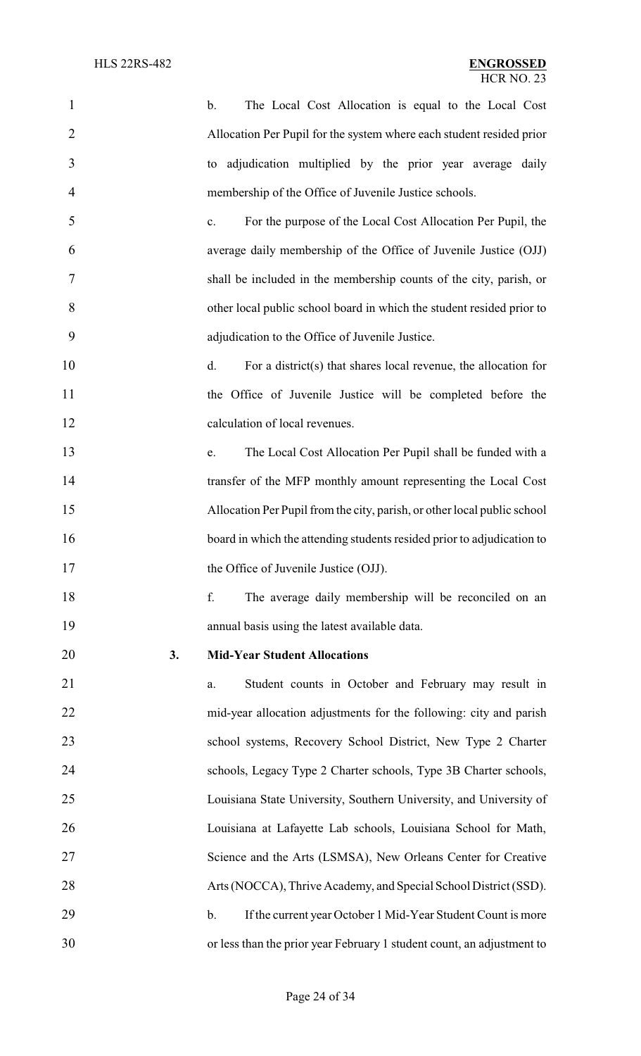| $\mathbf{1}$   |    | The Local Cost Allocation is equal to the Local Cost<br>$\mathbf b$ .         |
|----------------|----|-------------------------------------------------------------------------------|
| $\overline{2}$ |    | Allocation Per Pupil for the system where each student resided prior          |
| 3              |    | to adjudication multiplied by the prior year average daily                    |
| 4              |    | membership of the Office of Juvenile Justice schools.                         |
| 5              |    | For the purpose of the Local Cost Allocation Per Pupil, the<br>$\mathbf{c}$ . |
| 6              |    | average daily membership of the Office of Juvenile Justice (OJJ)              |
| 7              |    | shall be included in the membership counts of the city, parish, or            |
| 8              |    | other local public school board in which the student resided prior to         |
| 9              |    | adjudication to the Office of Juvenile Justice.                               |
| 10             |    | For a district(s) that shares local revenue, the allocation for<br>d.         |
| 11             |    | the Office of Juvenile Justice will be completed before the                   |
| 12             |    | calculation of local revenues.                                                |
| 13             |    | The Local Cost Allocation Per Pupil shall be funded with a<br>e.              |
| 14             |    | transfer of the MFP monthly amount representing the Local Cost                |
| 15             |    | Allocation Per Pupil from the city, parish, or other local public school      |
| 16             |    | board in which the attending students resided prior to adjudication to        |
| 17             |    | the Office of Juvenile Justice (OJJ).                                         |
| 18             |    | f.<br>The average daily membership will be reconciled on an                   |
| 19             |    | annual basis using the latest available data.                                 |
| 20             | 3. | <b>Mid-Year Student Allocations</b>                                           |
| 21             |    | Student counts in October and February may result in<br>a.                    |
| 22             |    | mid-year allocation adjustments for the following: city and parish            |
| 23             |    | school systems, Recovery School District, New Type 2 Charter                  |
| 24             |    | schools, Legacy Type 2 Charter schools, Type 3B Charter schools,              |
| 25             |    | Louisiana State University, Southern University, and University of            |
| 26             |    | Louisiana at Lafayette Lab schools, Louisiana School for Math,                |
| 27             |    | Science and the Arts (LSMSA), New Orleans Center for Creative                 |
| 28             |    | Arts (NOCCA), Thrive Academy, and Special School District (SSD).              |
| 29             |    | If the current year October 1 Mid-Year Student Count is more<br>$\mathbf b$ . |
| 30             |    | or less than the prior year February 1 student count, an adjustment to        |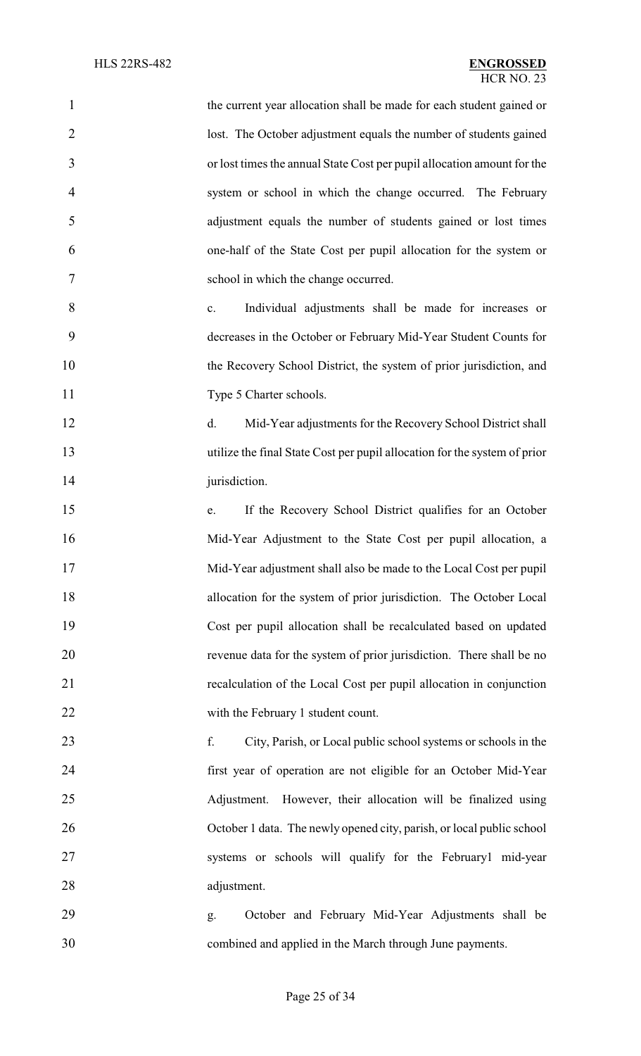| $\mathbf{1}$   | the current year allocation shall be made for each student gained or      |  |  |  |  |
|----------------|---------------------------------------------------------------------------|--|--|--|--|
| $\overline{2}$ | lost. The October adjustment equals the number of students gained         |  |  |  |  |
| 3              | or lost times the annual State Cost per pupil allocation amount for the   |  |  |  |  |
| 4              | system or school in which the change occurred. The February               |  |  |  |  |
| 5              | adjustment equals the number of students gained or lost times             |  |  |  |  |
| 6              | one-half of the State Cost per pupil allocation for the system or         |  |  |  |  |
| 7              | school in which the change occurred.                                      |  |  |  |  |
| 8              | Individual adjustments shall be made for increases or<br>c.               |  |  |  |  |
| 9              | decreases in the October or February Mid-Year Student Counts for          |  |  |  |  |
| 10             | the Recovery School District, the system of prior jurisdiction, and       |  |  |  |  |
| 11             | Type 5 Charter schools.                                                   |  |  |  |  |
| 12             | Mid-Year adjustments for the Recovery School District shall<br>d.         |  |  |  |  |
| 13             | utilize the final State Cost per pupil allocation for the system of prior |  |  |  |  |
| 14             | jurisdiction.                                                             |  |  |  |  |
| 15             | If the Recovery School District qualifies for an October<br>e.            |  |  |  |  |
| 16             | Mid-Year Adjustment to the State Cost per pupil allocation, a             |  |  |  |  |
| 17             | Mid-Year adjustment shall also be made to the Local Cost per pupil        |  |  |  |  |
| 18             | allocation for the system of prior jurisdiction. The October Local        |  |  |  |  |
| 19             | Cost per pupil allocation shall be recalculated based on updated          |  |  |  |  |
| 20             | revenue data for the system of prior jurisdiction. There shall be no      |  |  |  |  |
| 21             | recalculation of the Local Cost per pupil allocation in conjunction       |  |  |  |  |
| 22             | with the February 1 student count.                                        |  |  |  |  |
| 23             | f.<br>City, Parish, or Local public school systems or schools in the      |  |  |  |  |
| 24             | first year of operation are not eligible for an October Mid-Year          |  |  |  |  |
| 25             | However, their allocation will be finalized using<br>Adjustment.          |  |  |  |  |
| 26             | October 1 data. The newly opened city, parish, or local public school     |  |  |  |  |
| 27             | systems or schools will qualify for the February1 mid-year                |  |  |  |  |
| 28             | adjustment.                                                               |  |  |  |  |
| 29             | October and February Mid-Year Adjustments shall be<br>g.                  |  |  |  |  |
| 30             | combined and applied in the March through June payments.                  |  |  |  |  |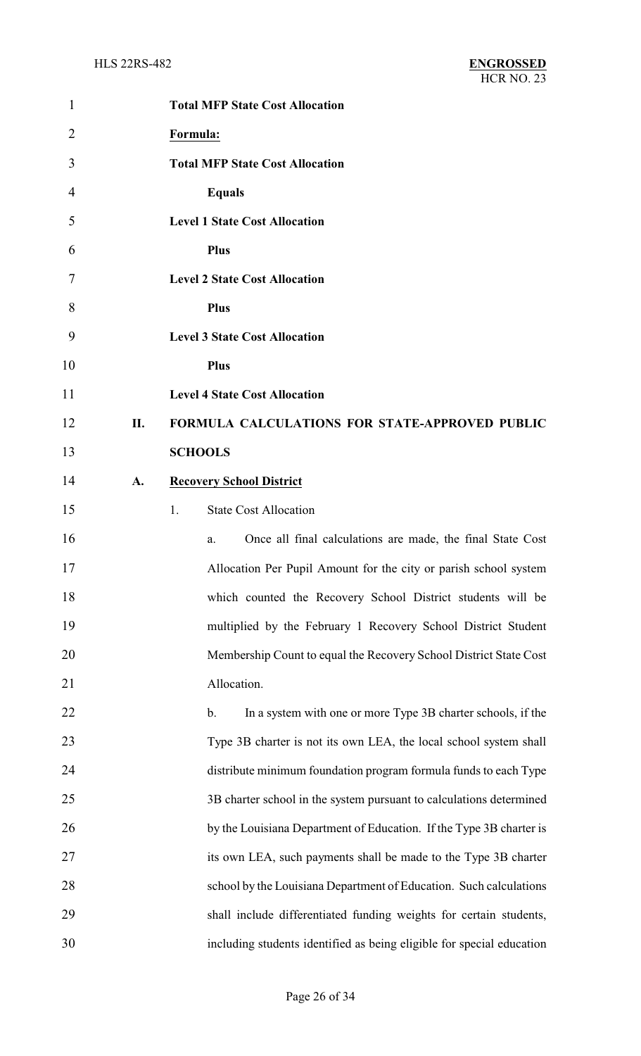| $\mathbf{1}$ |     | <b>Total MFP State Cost Allocation</b>                                        |
|--------------|-----|-------------------------------------------------------------------------------|
| 2            |     | Formula:                                                                      |
| 3            |     | <b>Total MFP State Cost Allocation</b>                                        |
| 4            |     | <b>Equals</b>                                                                 |
| 5            |     | <b>Level 1 State Cost Allocation</b>                                          |
| 6            |     | <b>Plus</b>                                                                   |
| 7            |     | <b>Level 2 State Cost Allocation</b>                                          |
| 8            |     | <b>Plus</b>                                                                   |
| 9            |     | <b>Level 3 State Cost Allocation</b>                                          |
| 10           |     | <b>Plus</b>                                                                   |
| 11           |     | <b>Level 4 State Cost Allocation</b>                                          |
| 12           | II. | FORMULA CALCULATIONS FOR STATE-APPROVED PUBLIC                                |
| 13           |     | <b>SCHOOLS</b>                                                                |
| 14           | A.  | <b>Recovery School District</b>                                               |
| 15           |     | <b>State Cost Allocation</b><br>1.                                            |
| 16           |     | Once all final calculations are made, the final State Cost<br>a.              |
| 17           |     | Allocation Per Pupil Amount for the city or parish school system              |
| 18           |     | which counted the Recovery School District students will be                   |
| 19           |     | multiplied by the February 1 Recovery School District Student                 |
| 20           |     | Membership Count to equal the Recovery School District State Cost             |
| 21           |     | Allocation.                                                                   |
| 22           |     | In a system with one or more Type 3B charter schools, if the<br>$\mathbf b$ . |
| 23           |     | Type 3B charter is not its own LEA, the local school system shall             |
| 24           |     | distribute minimum foundation program formula funds to each Type              |
| 25           |     | 3B charter school in the system pursuant to calculations determined           |
| 26           |     | by the Louisiana Department of Education. If the Type 3B charter is           |
| 27           |     | its own LEA, such payments shall be made to the Type 3B charter               |
| 28           |     | school by the Louisiana Department of Education. Such calculations            |
| 29           |     | shall include differentiated funding weights for certain students,            |
| 30           |     | including students identified as being eligible for special education         |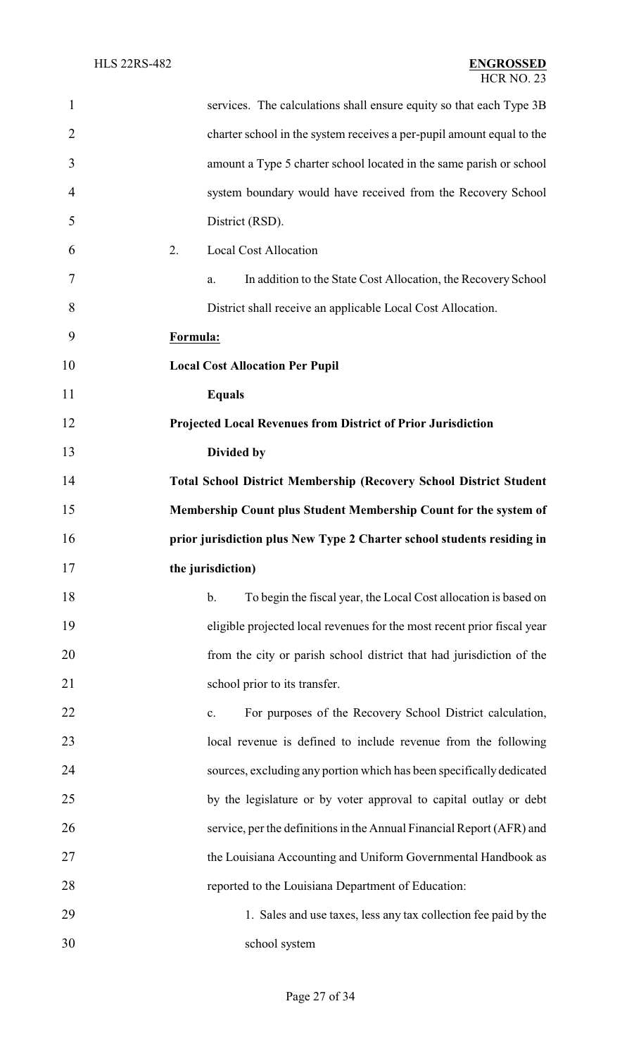| $\mathbf{1}$   | services. The calculations shall ensure equity so that each Type 3B       |
|----------------|---------------------------------------------------------------------------|
| $\overline{2}$ | charter school in the system receives a per-pupil amount equal to the     |
| 3              | amount a Type 5 charter school located in the same parish or school       |
| 4              | system boundary would have received from the Recovery School              |
| 5              | District (RSD).                                                           |
| 6              | 2.<br><b>Local Cost Allocation</b>                                        |
| 7              | In addition to the State Cost Allocation, the Recovery School<br>a.       |
| 8              | District shall receive an applicable Local Cost Allocation.               |
| 9              | Formula:                                                                  |
| 10             | <b>Local Cost Allocation Per Pupil</b>                                    |
| 11             | <b>Equals</b>                                                             |
| 12             | Projected Local Revenues from District of Prior Jurisdiction              |
| 13             | Divided by                                                                |
| 14             | <b>Total School District Membership (Recovery School District Student</b> |
| 15             | Membership Count plus Student Membership Count for the system of          |
| 16             | prior jurisdiction plus New Type 2 Charter school students residing in    |
| 17             | the jurisdiction)                                                         |
| 18             | To begin the fiscal year, the Local Cost allocation is based on<br>b.     |
| 19             | eligible projected local revenues for the most recent prior fiscal year   |
| 20             | from the city or parish school district that had jurisdiction of the      |
| 21             | school prior to its transfer.                                             |
| 22             | For purposes of the Recovery School District calculation,<br>c.           |
| 23             | local revenue is defined to include revenue from the following            |
| 24             | sources, excluding any portion which has been specifically dedicated      |
| 25             | by the legislature or by voter approval to capital outlay or debt         |
| 26             | service, per the definitions in the Annual Financial Report (AFR) and     |
| 27             | the Louisiana Accounting and Uniform Governmental Handbook as             |
| 28             | reported to the Louisiana Department of Education:                        |
| 29             | 1. Sales and use taxes, less any tax collection fee paid by the           |
| 30             | school system                                                             |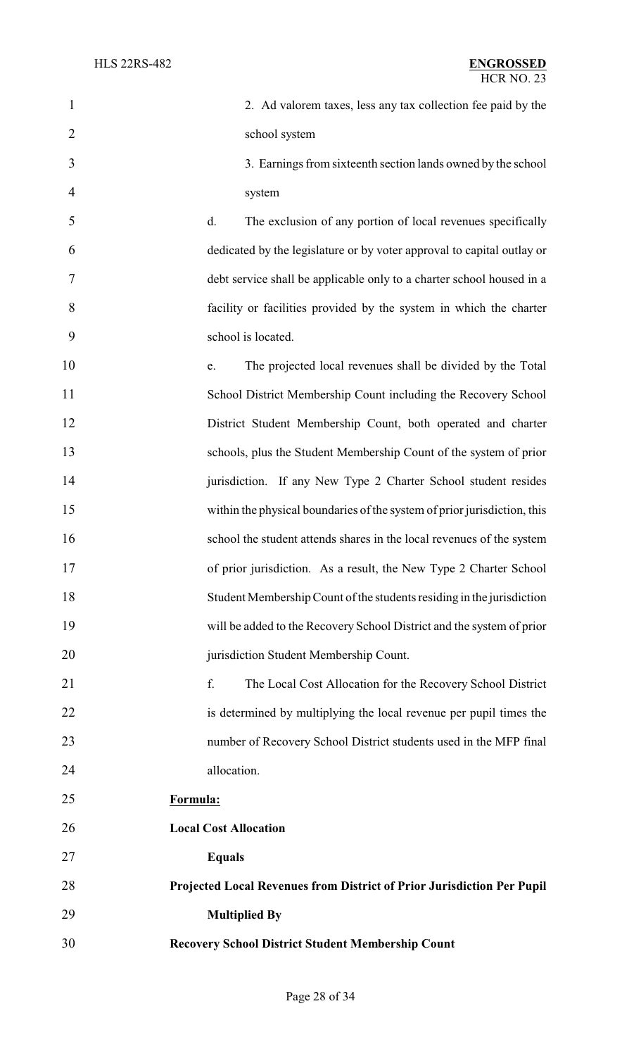| $\mathbf{1}$   | 2. Ad valorem taxes, less any tax collection fee paid by the             |
|----------------|--------------------------------------------------------------------------|
| $\overline{2}$ | school system                                                            |
| 3              | 3. Earnings from sixteenth section lands owned by the school             |
| 4              | system                                                                   |
| 5              | The exclusion of any portion of local revenues specifically<br>d.        |
| 6              | dedicated by the legislature or by voter approval to capital outlay or   |
| 7              | debt service shall be applicable only to a charter school housed in a    |
| 8              | facility or facilities provided by the system in which the charter       |
| 9              | school is located.                                                       |
| 10             | The projected local revenues shall be divided by the Total<br>e.         |
| 11             | School District Membership Count including the Recovery School           |
| 12             | District Student Membership Count, both operated and charter             |
| 13             | schools, plus the Student Membership Count of the system of prior        |
| 14             | jurisdiction. If any New Type 2 Charter School student resides           |
| 15             | within the physical boundaries of the system of prior jurisdiction, this |
| 16             | school the student attends shares in the local revenues of the system    |
| 17             | of prior jurisdiction. As a result, the New Type 2 Charter School        |
| 18             | Student Membership Count of the students residing in the jurisdiction    |
| 19             | will be added to the Recovery School District and the system of prior    |
| 20             | jurisdiction Student Membership Count.                                   |
| 21             | f.<br>The Local Cost Allocation for the Recovery School District         |
| 22             | is determined by multiplying the local revenue per pupil times the       |
| 23             | number of Recovery School District students used in the MFP final        |
| 24             | allocation.                                                              |
| 25             | Formula:                                                                 |
| 26             | <b>Local Cost Allocation</b>                                             |
| 27             | <b>Equals</b>                                                            |
| 28             | Projected Local Revenues from District of Prior Jurisdiction Per Pupil   |
| 29             | <b>Multiplied By</b>                                                     |
| 30             | <b>Recovery School District Student Membership Count</b>                 |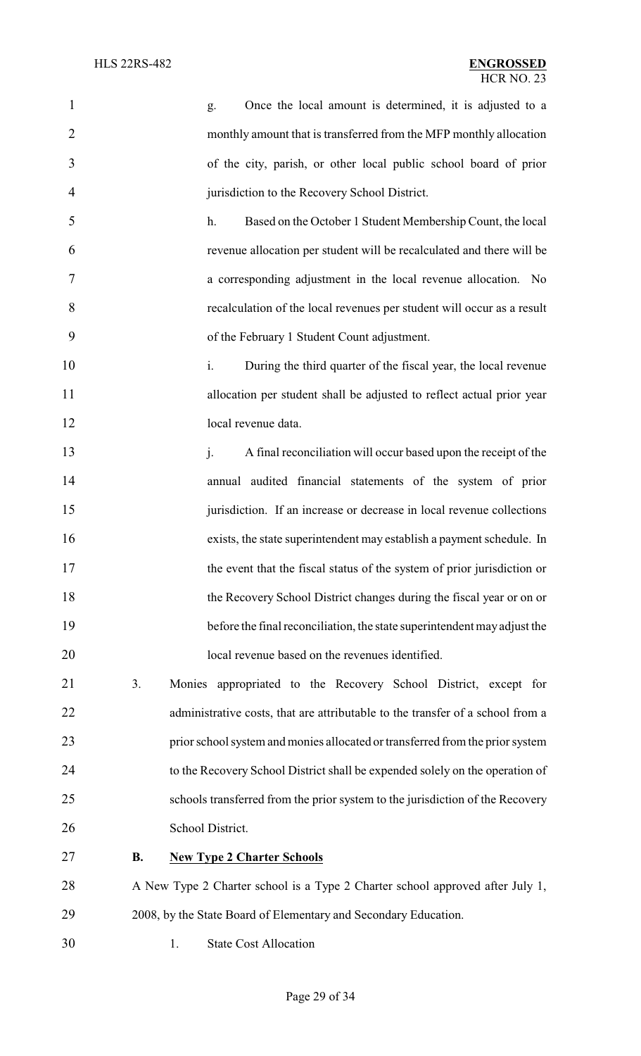| $\mathbf{1}$   |           | Once the local amount is determined, it is adjusted to a<br>g.                 |
|----------------|-----------|--------------------------------------------------------------------------------|
| $\overline{2}$ |           | monthly amount that is transferred from the MFP monthly allocation             |
| 3              |           | of the city, parish, or other local public school board of prior               |
| 4              |           | jurisdiction to the Recovery School District.                                  |
| 5              |           | Based on the October 1 Student Membership Count, the local<br>h.               |
| 6              |           | revenue allocation per student will be recalculated and there will be          |
| 7              |           | a corresponding adjustment in the local revenue allocation. No                 |
| 8              |           | recalculation of the local revenues per student will occur as a result         |
| 9              |           | of the February 1 Student Count adjustment.                                    |
| 10             |           | During the third quarter of the fiscal year, the local revenue<br>i.           |
| 11             |           | allocation per student shall be adjusted to reflect actual prior year          |
| 12             |           | local revenue data.                                                            |
| 13             |           | j.<br>A final reconciliation will occur based upon the receipt of the          |
| 14             |           | annual audited financial statements of the system of prior                     |
| 15             |           | jurisdiction. If an increase or decrease in local revenue collections          |
| 16             |           | exists, the state superintendent may establish a payment schedule. In          |
| 17             |           | the event that the fiscal status of the system of prior jurisdiction or        |
| 18             |           | the Recovery School District changes during the fiscal year or on or           |
| 19             |           | before the final reconciliation, the state superintendent may adjust the       |
| 20             |           | local revenue based on the revenues identified.                                |
| 21             | 3.        | Monies appropriated to the Recovery School District, except for                |
| 22             |           | administrative costs, that are attributable to the transfer of a school from a |
| 23             |           | prior school system and monies allocated or transferred from the prior system  |
| 24             |           | to the Recovery School District shall be expended solely on the operation of   |
| 25             |           | schools transferred from the prior system to the jurisdiction of the Recovery  |
| 26             |           | School District.                                                               |
| 27             | <b>B.</b> | <b>New Type 2 Charter Schools</b>                                              |
| 28             |           | A New Type 2 Charter school is a Type 2 Charter school approved after July 1,  |
| 29             |           | 2008, by the State Board of Elementary and Secondary Education.                |
| 30             | 1.        | <b>State Cost Allocation</b>                                                   |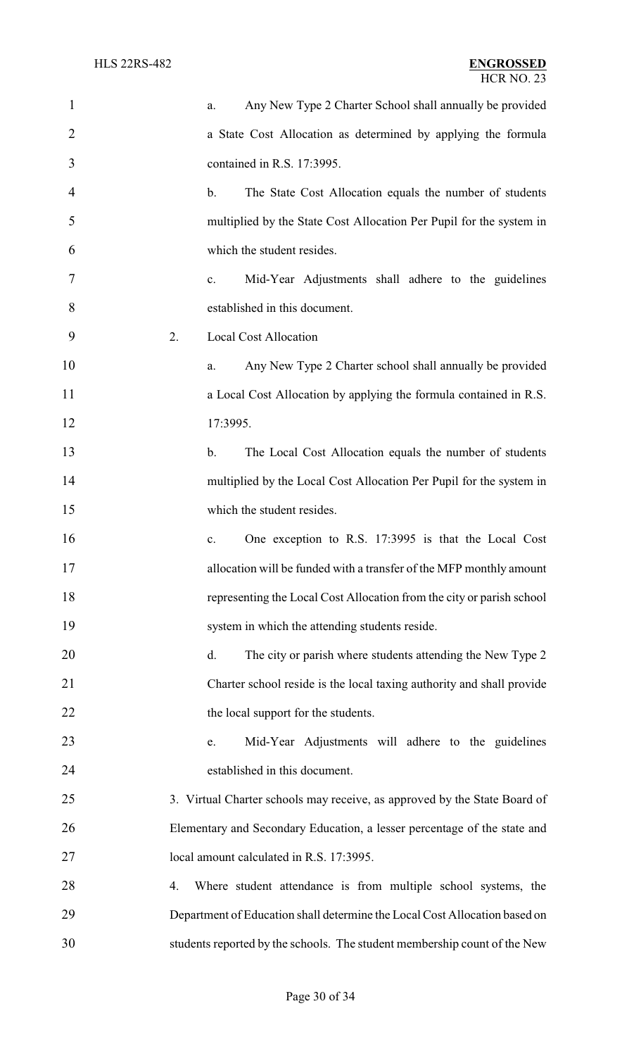| $\mathbf{1}$   |    | a.            | Any New Type 2 Charter School shall annually be provided                   |
|----------------|----|---------------|----------------------------------------------------------------------------|
| $\overline{2}$ |    |               | a State Cost Allocation as determined by applying the formula              |
| 3              |    |               | contained in R.S. 17:3995.                                                 |
| $\overline{4}$ |    | $\mathbf b$ . | The State Cost Allocation equals the number of students                    |
| 5              |    |               | multiplied by the State Cost Allocation Per Pupil for the system in        |
| 6              |    |               | which the student resides.                                                 |
| 7              |    | c.            | Mid-Year Adjustments shall adhere to the guidelines                        |
| 8              |    |               | established in this document.                                              |
| 9              | 2. |               | <b>Local Cost Allocation</b>                                               |
| 10             |    | a.            | Any New Type 2 Charter school shall annually be provided                   |
| 11             |    |               | a Local Cost Allocation by applying the formula contained in R.S.          |
| 12             |    | 17:3995.      |                                                                            |
| 13             |    | $\mathbf b$ . | The Local Cost Allocation equals the number of students                    |
| 14             |    |               | multiplied by the Local Cost Allocation Per Pupil for the system in        |
| 15             |    |               | which the student resides.                                                 |
| 16             |    | c.            | One exception to R.S. 17:3995 is that the Local Cost                       |
| 17             |    |               | allocation will be funded with a transfer of the MFP monthly amount        |
| 18             |    |               | representing the Local Cost Allocation from the city or parish school      |
| 19             |    |               | system in which the attending students reside.                             |
| 20             |    | d.            | The city or parish where students attending the New Type 2                 |
| 21             |    |               | Charter school reside is the local taxing authority and shall provide      |
| 22             |    |               | the local support for the students.                                        |
| 23             |    | e.            | Mid-Year Adjustments will adhere to the guidelines                         |
| 24             |    |               | established in this document.                                              |
| 25             |    |               | 3. Virtual Charter schools may receive, as approved by the State Board of  |
| 26             |    |               | Elementary and Secondary Education, a lesser percentage of the state and   |
| 27             |    |               | local amount calculated in R.S. 17:3995.                                   |
| 28             | 4. |               | Where student attendance is from multiple school systems, the              |
| 29             |    |               | Department of Education shall determine the Local Cost Allocation based on |
| 30             |    |               | students reported by the schools. The student membership count of the New  |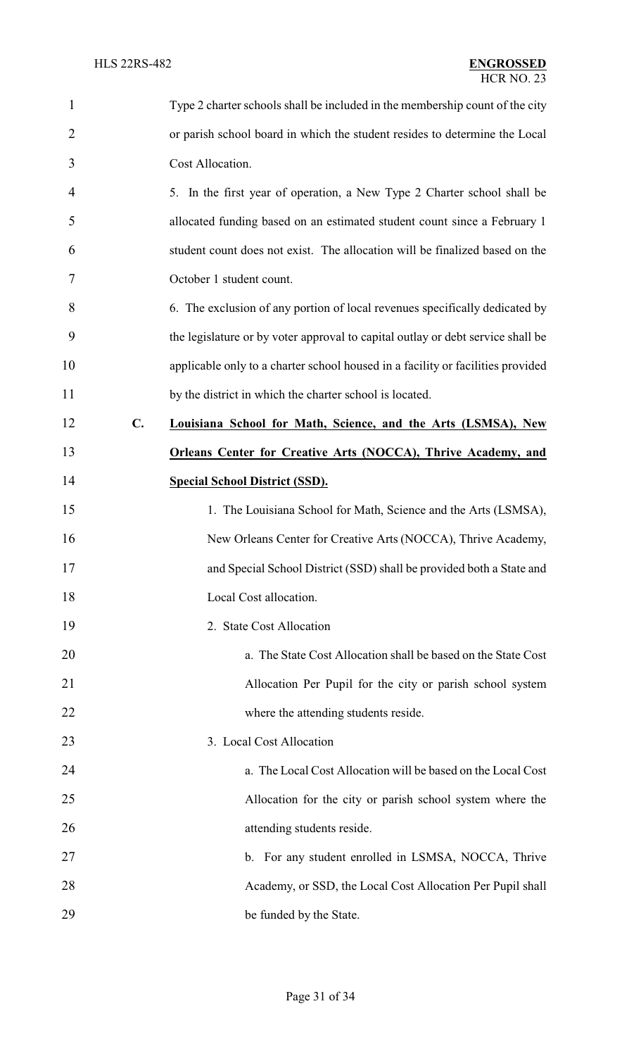| $\mathbf{1}$   |    | Type 2 charter schools shall be included in the membership count of the city    |
|----------------|----|---------------------------------------------------------------------------------|
| $\overline{2}$ |    | or parish school board in which the student resides to determine the Local      |
| 3              |    | Cost Allocation.                                                                |
| 4              |    | 5. In the first year of operation, a New Type 2 Charter school shall be         |
| 5              |    | allocated funding based on an estimated student count since a February 1        |
| 6              |    | student count does not exist. The allocation will be finalized based on the     |
| 7              |    | October 1 student count.                                                        |
| 8              |    | 6. The exclusion of any portion of local revenues specifically dedicated by     |
| 9              |    | the legislature or by voter approval to capital outlay or debt service shall be |
| 10             |    | applicable only to a charter school housed in a facility or facilities provided |
| 11             |    | by the district in which the charter school is located.                         |
| 12             | C. | Louisiana School for Math, Science, and the Arts (LSMSA), New                   |
| 13             |    | <b>Orleans Center for Creative Arts (NOCCA), Thrive Academy, and</b>            |
| 14             |    | <b>Special School District (SSD).</b>                                           |
| 15             |    | 1. The Louisiana School for Math, Science and the Arts (LSMSA),                 |
| 16             |    | New Orleans Center for Creative Arts (NOCCA), Thrive Academy,                   |
| 17             |    | and Special School District (SSD) shall be provided both a State and            |
| 18             |    | Local Cost allocation.                                                          |
| 19             |    | 2. State Cost Allocation                                                        |
| 20             |    | a. The State Cost Allocation shall be based on the State Cost                   |
| 21             |    | Allocation Per Pupil for the city or parish school system                       |
| 22             |    | where the attending students reside.                                            |
| 23             |    | 3. Local Cost Allocation                                                        |
| 24             |    | a. The Local Cost Allocation will be based on the Local Cost                    |
| 25             |    | Allocation for the city or parish school system where the                       |
| 26             |    | attending students reside.                                                      |
| 27             |    | b. For any student enrolled in LSMSA, NOCCA, Thrive                             |
| 28             |    | Academy, or SSD, the Local Cost Allocation Per Pupil shall                      |
| 29             |    | be funded by the State.                                                         |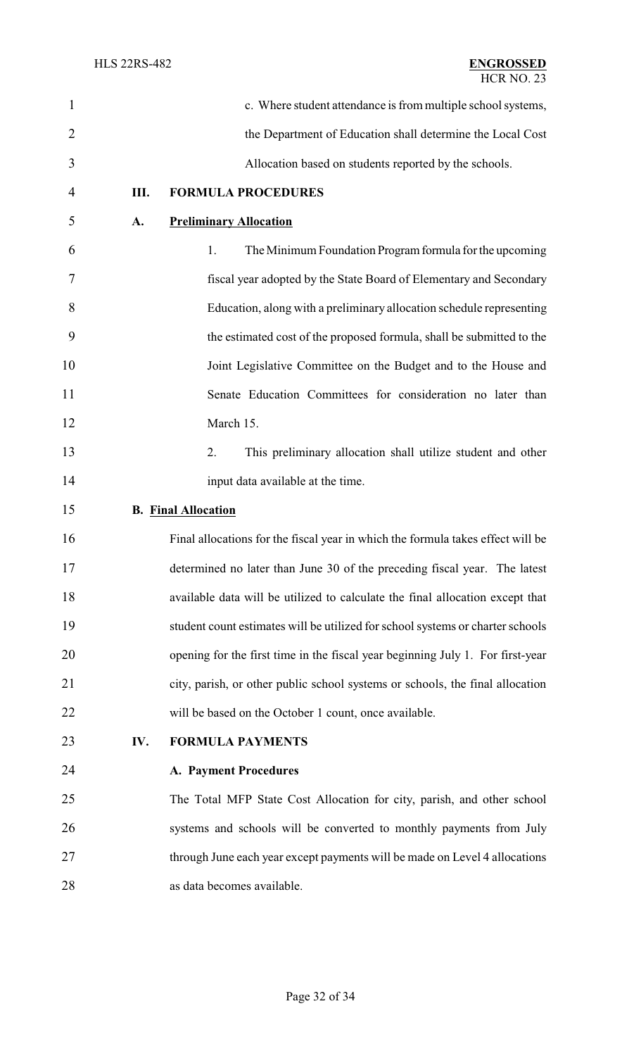| $\mathbf{1}$   |      | c. Where student attendance is from multiple school systems,                    |
|----------------|------|---------------------------------------------------------------------------------|
| $\overline{2}$ |      | the Department of Education shall determine the Local Cost                      |
| 3              |      | Allocation based on students reported by the schools.                           |
| $\overline{4}$ | III. | <b>FORMULA PROCEDURES</b>                                                       |
| 5              | A.   | <b>Preliminary Allocation</b>                                                   |
| 6              |      | 1.<br>The Minimum Foundation Program formula for the upcoming                   |
| 7              |      | fiscal year adopted by the State Board of Elementary and Secondary              |
| 8              |      | Education, along with a preliminary allocation schedule representing            |
| 9              |      | the estimated cost of the proposed formula, shall be submitted to the           |
| 10             |      | Joint Legislative Committee on the Budget and to the House and                  |
| 11             |      | Senate Education Committees for consideration no later than                     |
| 12             |      | March 15.                                                                       |
| 13             |      | 2.<br>This preliminary allocation shall utilize student and other               |
| 14             |      | input data available at the time.                                               |
| 15             |      | <b>B.</b> Final Allocation                                                      |
| 16             |      | Final allocations for the fiscal year in which the formula takes effect will be |
| 17             |      | determined no later than June 30 of the preceding fiscal year. The latest       |
| 18             |      | available data will be utilized to calculate the final allocation except that   |
| 19             |      | student count estimates will be utilized for school systems or charter schools  |
| 20             |      | opening for the first time in the fiscal year beginning July 1. For first-year  |
| 21             |      | city, parish, or other public school systems or schools, the final allocation   |
| 22             |      | will be based on the October 1 count, once available.                           |
| 23             | IV.  | <b>FORMULA PAYMENTS</b>                                                         |
| 24             |      | <b>A. Payment Procedures</b>                                                    |
| 25             |      | The Total MFP State Cost Allocation for city, parish, and other school          |
| 26             |      | systems and schools will be converted to monthly payments from July             |
| 27             |      | through June each year except payments will be made on Level 4 allocations      |
| 28             |      | as data becomes available.                                                      |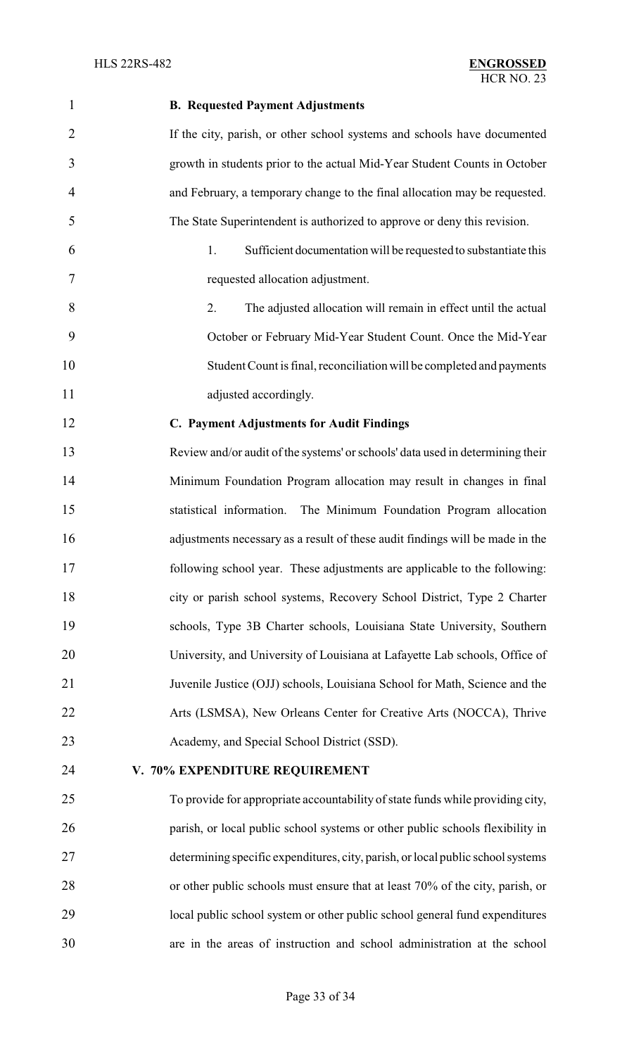# **B. Requested Payment Adjustments** If the city, parish, or other school systems and schools have documented growth in students prior to the actual Mid-Year Student Counts in October and February, a temporary change to the final allocation may be requested. The State Superintendent is authorized to approve or deny this revision. 1. Sufficient documentation will be requested to substantiate this requested allocation adjustment. 2. The adjusted allocation will remain in effect until the actual October or February Mid-Year Student Count. Once the Mid-Year Student Count is final, reconciliation will be completed and payments 11 adjusted accordingly. **C. Payment Adjustments for Audit Findings** Review and/or audit of the systems' or schools' data used in determining their Minimum Foundation Program allocation may result in changes in final statistical information. The Minimum Foundation Program allocation adjustments necessary as a result of these audit findings will be made in the following school year. These adjustments are applicable to the following: city or parish school systems, Recovery School District, Type 2 Charter schools, Type 3B Charter schools, Louisiana State University, Southern University, and University of Louisiana at Lafayette Lab schools, Office of Juvenile Justice (OJJ) schools, Louisiana School for Math, Science and the Arts (LSMSA), New Orleans Center for Creative Arts (NOCCA), Thrive Academy, and Special School District (SSD). **V. 70% EXPENDITURE REQUIREMENT** To provide for appropriate accountability of state funds while providing city, parish, or local public school systems or other public schools flexibility in determining specific expenditures, city, parish, or local public schoolsystems or other public schools must ensure that at least 70% of the city, parish, or local public school system or other public school general fund expenditures are in the areas of instruction and school administration at the school